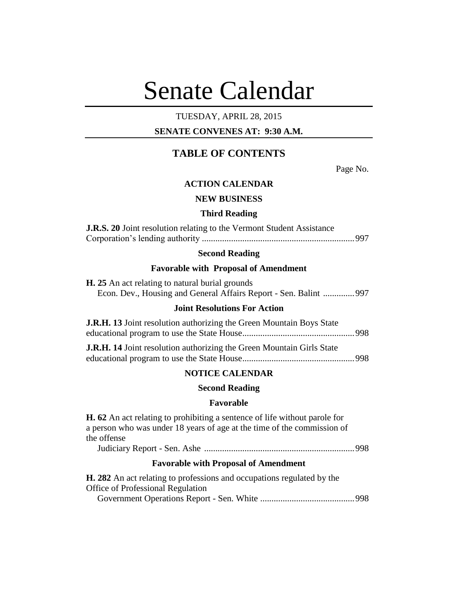# Senate Calendar

### TUESDAY, APRIL 28, 2015

# **SENATE CONVENES AT: 9:30 A.M.**

# **TABLE OF CONTENTS**

Page No.

### **ACTION CALENDAR**

### **NEW BUSINESS**

#### **Third Reading**

| <b>J.R.S. 20</b> Joint resolution relating to the Vermont Student Assistance |
|------------------------------------------------------------------------------|
|                                                                              |

### **Second Reading**

#### **Favorable with Proposal of Amendment**

| <b>H.</b> 25 An act relating to natural burial grounds           |  |
|------------------------------------------------------------------|--|
| Econ. Dev., Housing and General Affairs Report - Sen. Balint 997 |  |

### **Joint Resolutions For Action**

| <b>J.R.H. 13</b> Joint resolution authorizing the Green Mountain Boys State |  |
|-----------------------------------------------------------------------------|--|
|                                                                             |  |

| <b>J.R.H. 14</b> Joint resolution authorizing the Green Mountain Girls State |  |
|------------------------------------------------------------------------------|--|
|                                                                              |  |

### **NOTICE CALENDAR**

#### **Second Reading**

### **Favorable**

**H. 62** An act relating to prohibiting a sentence of life without parole for a person who was under 18 years of age at the time of the commission of the offense

Judiciary Report - Sen. Ashe ...................................................................998

#### **Favorable with Proposal of Amendment**

| <b>H. 282</b> An act relating to professions and occupations regulated by the |  |
|-------------------------------------------------------------------------------|--|
| <b>Office of Professional Regulation</b>                                      |  |
|                                                                               |  |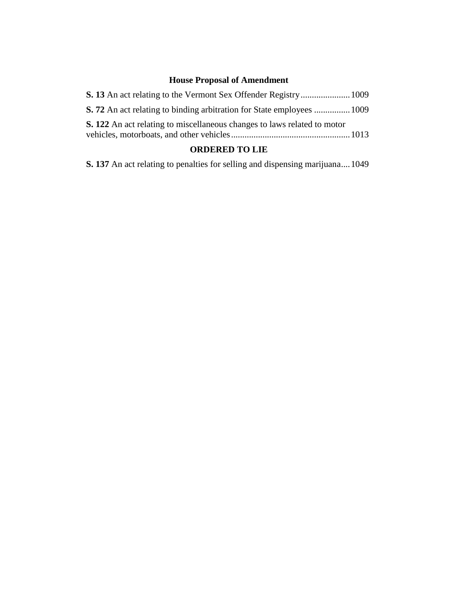# **House Proposal of Amendment**

| <b>S. 72</b> An act relating to binding arbitration for State employees  1009   |  |
|---------------------------------------------------------------------------------|--|
| <b>S. 122</b> An act relating to miscellaneous changes to laws related to motor |  |
|                                                                                 |  |

# **ORDERED TO LIE**

**S. 137** An act relating to penalties for selling and dispensing marijuana....1049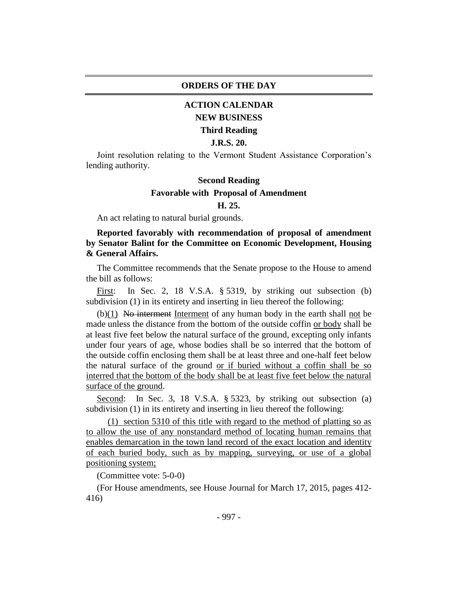### **ORDERS OF THE DAY**

# **ACTION CALENDAR NEW BUSINESS**

# **Third Reading**

### **J.R.S. 20.**

Joint resolution relating to the Vermont Student Assistance Corporation's lending authority.

### **Second Reading**

### **Favorable with Proposal of Amendment**

### **H. 25.**

An act relating to natural burial grounds.

**Reported favorably with recommendation of proposal of amendment by Senator Balint for the Committee on Economic Development, Housing & General Affairs.**

The Committee recommends that the Senate propose to the House to amend the bill as follows:

First: In Sec. 2, 18 V.S.A. § 5319, by striking out subsection (b) subdivision (1) in its entirety and inserting in lieu thereof the following:

 $(b)(1)$  No interment Interment of any human body in the earth shall not be made unless the distance from the bottom of the outside coffin or body shall be at least five feet below the natural surface of the ground, excepting only infants under four years of age, whose bodies shall be so interred that the bottom of the outside coffin enclosing them shall be at least three and one-half feet below the natural surface of the ground or if buried without a coffin shall be so interred that the bottom of the body shall be at least five feet below the natural surface of the ground.

Second: In Sec. 3, 18 V.S.A. § 5323, by striking out subsection (a) subdivision (1) in its entirety and inserting in lieu thereof the following:

(1) section 5310 of this title with regard to the method of platting so as to allow the use of any nonstandard method of locating human remains that enables demarcation in the town land record of the exact location and identity of each buried body, such as by mapping, surveying, or use of a global positioning system;

(Committee vote: 5-0-0)

(For House amendments, see House Journal for March 17, 2015, pages 412- 416)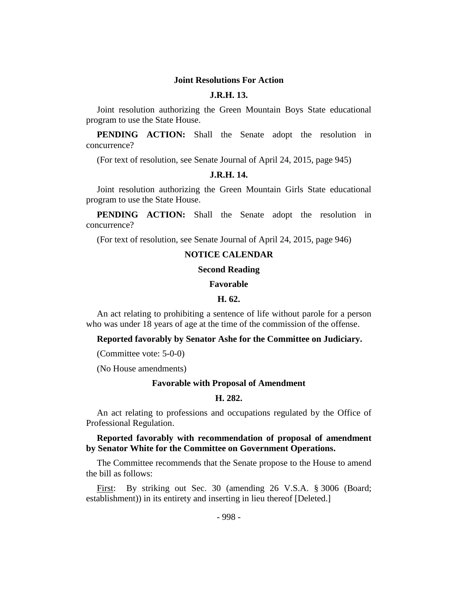#### **Joint Resolutions For Action**

### **J.R.H. 13.**

Joint resolution authorizing the Green Mountain Boys State educational program to use the State House.

**PENDING ACTION:** Shall the Senate adopt the resolution in concurrence?

(For text of resolution, see Senate Journal of April 24, 2015, page 945)

### **J.R.H. 14.**

Joint resolution authorizing the Green Mountain Girls State educational program to use the State House.

**PENDING ACTION:** Shall the Senate adopt the resolution in concurrence?

(For text of resolution, see Senate Journal of April 24, 2015, page 946)

### **NOTICE CALENDAR**

#### **Second Reading**

#### **Favorable**

#### **H. 62.**

An act relating to prohibiting a sentence of life without parole for a person who was under 18 years of age at the time of the commission of the offense.

**Reported favorably by Senator Ashe for the Committee on Judiciary.**

(Committee vote: 5-0-0)

(No House amendments)

#### **Favorable with Proposal of Amendment**

#### **H. 282.**

An act relating to professions and occupations regulated by the Office of Professional Regulation.

### **Reported favorably with recommendation of proposal of amendment by Senator White for the Committee on Government Operations.**

The Committee recommends that the Senate propose to the House to amend the bill as follows:

First: By striking out Sec. 30 (amending 26 V.S.A. § 3006 (Board; establishment)) in its entirety and inserting in lieu thereof [Deleted.]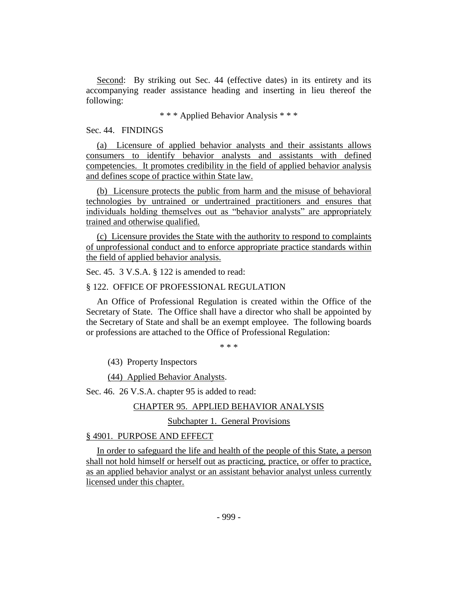Second: By striking out Sec. 44 (effective dates) in its entirety and its accompanying reader assistance heading and inserting in lieu thereof the following:

\* \* \* Applied Behavior Analysis \* \* \*

#### Sec. 44. FINDINGS

(a) Licensure of applied behavior analysts and their assistants allows consumers to identify behavior analysts and assistants with defined competencies. It promotes credibility in the field of applied behavior analysis and defines scope of practice within State law.

(b) Licensure protects the public from harm and the misuse of behavioral technologies by untrained or undertrained practitioners and ensures that individuals holding themselves out as "behavior analysts" are appropriately trained and otherwise qualified.

(c) Licensure provides the State with the authority to respond to complaints of unprofessional conduct and to enforce appropriate practice standards within the field of applied behavior analysis.

Sec. 45. 3 V.S.A. § 122 is amended to read:

### § 122. OFFICE OF PROFESSIONAL REGULATION

An Office of Professional Regulation is created within the Office of the Secretary of State. The Office shall have a director who shall be appointed by the Secretary of State and shall be an exempt employee. The following boards or professions are attached to the Office of Professional Regulation:

\* \* \*

(43) Property Inspectors

(44) Applied Behavior Analysts.

Sec. 46. 26 V.S.A. chapter 95 is added to read:

### CHAPTER 95. APPLIED BEHAVIOR ANALYSIS

Subchapter 1. General Provisions

### § 4901. PURPOSE AND EFFECT

In order to safeguard the life and health of the people of this State, a person shall not hold himself or herself out as practicing, practice, or offer to practice, as an applied behavior analyst or an assistant behavior analyst unless currently licensed under this chapter.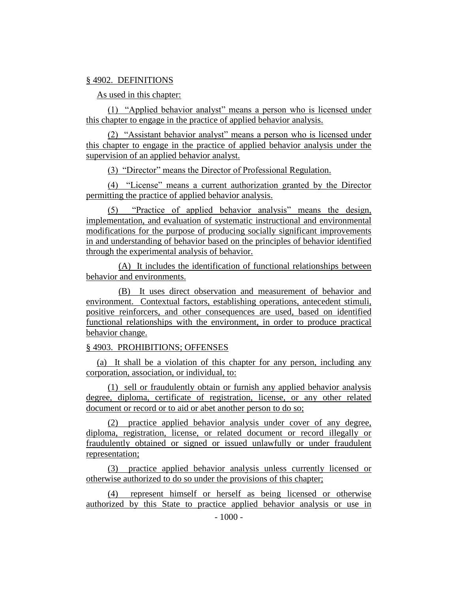### § 4902. DEFINITIONS

As used in this chapter:

(1) "Applied behavior analyst" means a person who is licensed under this chapter to engage in the practice of applied behavior analysis.

(2) "Assistant behavior analyst" means a person who is licensed under this chapter to engage in the practice of applied behavior analysis under the supervision of an applied behavior analyst.

(3) "Director" means the Director of Professional Regulation.

(4) "License" means a current authorization granted by the Director permitting the practice of applied behavior analysis.

(5) "Practice of applied behavior analysis" means the design, implementation, and evaluation of systematic instructional and environmental modifications for the purpose of producing socially significant improvements in and understanding of behavior based on the principles of behavior identified through the experimental analysis of behavior.

(A) It includes the identification of functional relationships between behavior and environments.

(B) It uses direct observation and measurement of behavior and environment. Contextual factors, establishing operations, antecedent stimuli, positive reinforcers, and other consequences are used, based on identified functional relationships with the environment, in order to produce practical behavior change.

# § 4903. PROHIBITIONS; OFFENSES

(a) It shall be a violation of this chapter for any person, including any corporation, association, or individual, to:

(1) sell or fraudulently obtain or furnish any applied behavior analysis degree, diploma, certificate of registration, license, or any other related document or record or to aid or abet another person to do so;

(2) practice applied behavior analysis under cover of any degree, diploma, registration, license, or related document or record illegally or fraudulently obtained or signed or issued unlawfully or under fraudulent representation;

(3) practice applied behavior analysis unless currently licensed or otherwise authorized to do so under the provisions of this chapter;

(4) represent himself or herself as being licensed or otherwise authorized by this State to practice applied behavior analysis or use in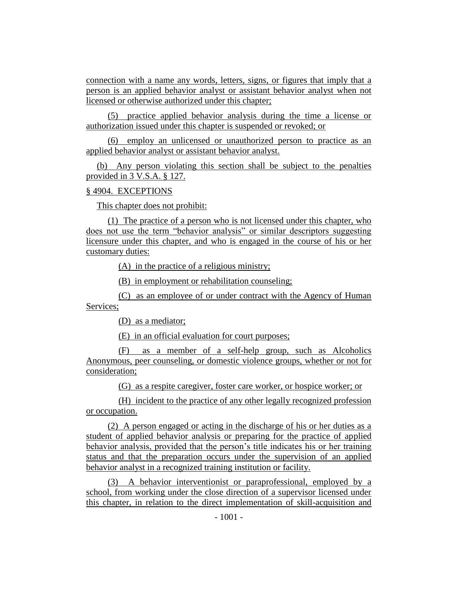connection with a name any words, letters, signs, or figures that imply that a person is an applied behavior analyst or assistant behavior analyst when not licensed or otherwise authorized under this chapter;

(5) practice applied behavior analysis during the time a license or authorization issued under this chapter is suspended or revoked; or

(6) employ an unlicensed or unauthorized person to practice as an applied behavior analyst or assistant behavior analyst.

(b) Any person violating this section shall be subject to the penalties provided in 3 V.S.A. § 127.

#### § 4904. EXCEPTIONS

This chapter does not prohibit:

(1) The practice of a person who is not licensed under this chapter, who does not use the term "behavior analysis" or similar descriptors suggesting licensure under this chapter, and who is engaged in the course of his or her customary duties:

(A) in the practice of a religious ministry;

(B) in employment or rehabilitation counseling;

(C) as an employee of or under contract with the Agency of Human Services;

(D) as a mediator;

(E) in an official evaluation for court purposes;

(F) as a member of a self-help group, such as Alcoholics Anonymous, peer counseling, or domestic violence groups, whether or not for consideration;

(G) as a respite caregiver, foster care worker, or hospice worker; or

(H) incident to the practice of any other legally recognized profession or occupation.

(2) A person engaged or acting in the discharge of his or her duties as a student of applied behavior analysis or preparing for the practice of applied behavior analysis, provided that the person's title indicates his or her training status and that the preparation occurs under the supervision of an applied behavior analyst in a recognized training institution or facility.

(3) A behavior interventionist or paraprofessional, employed by a school, from working under the close direction of a supervisor licensed under this chapter, in relation to the direct implementation of skill-acquisition and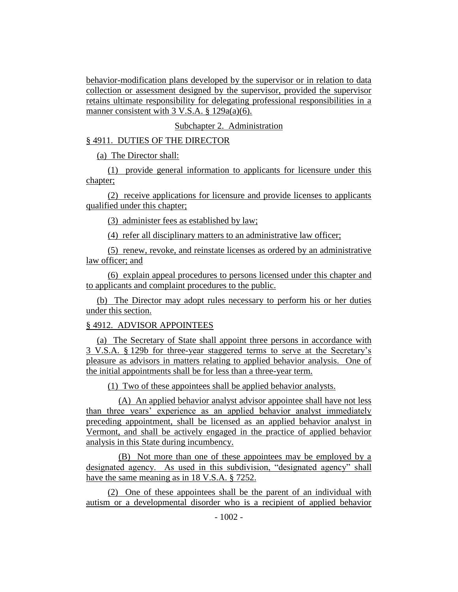behavior-modification plans developed by the supervisor or in relation to data collection or assessment designed by the supervisor, provided the supervisor retains ultimate responsibility for delegating professional responsibilities in a manner consistent with 3 V.S.A. § 129a(a)(6).

### Subchapter 2. Administration

### § 4911. DUTIES OF THE DIRECTOR

(a) The Director shall:

(1) provide general information to applicants for licensure under this chapter;

(2) receive applications for licensure and provide licenses to applicants qualified under this chapter;

(3) administer fees as established by law;

(4) refer all disciplinary matters to an administrative law officer;

(5) renew, revoke, and reinstate licenses as ordered by an administrative law officer; and

(6) explain appeal procedures to persons licensed under this chapter and to applicants and complaint procedures to the public.

(b) The Director may adopt rules necessary to perform his or her duties under this section.

### § 4912. ADVISOR APPOINTEES

(a) The Secretary of State shall appoint three persons in accordance with 3 V.S.A. § 129b for three-year staggered terms to serve at the Secretary's pleasure as advisors in matters relating to applied behavior analysis. One of the initial appointments shall be for less than a three-year term.

(1) Two of these appointees shall be applied behavior analysts.

(A) An applied behavior analyst advisor appointee shall have not less than three years' experience as an applied behavior analyst immediately preceding appointment, shall be licensed as an applied behavior analyst in Vermont, and shall be actively engaged in the practice of applied behavior analysis in this State during incumbency.

(B) Not more than one of these appointees may be employed by a designated agency. As used in this subdivision, "designated agency" shall have the same meaning as in 18 V.S.A. § 7252.

(2) One of these appointees shall be the parent of an individual with autism or a developmental disorder who is a recipient of applied behavior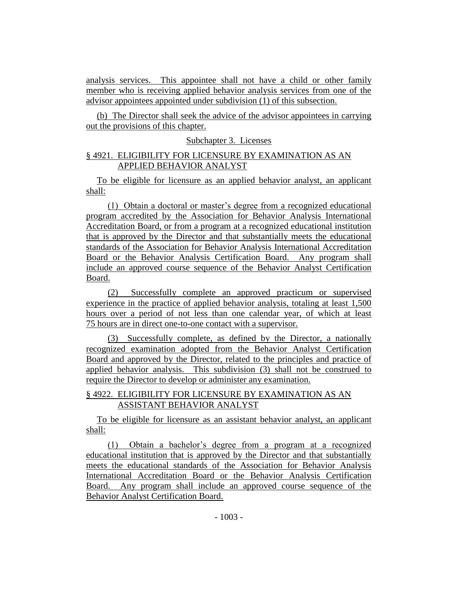analysis services. This appointee shall not have a child or other family member who is receiving applied behavior analysis services from one of the advisor appointees appointed under subdivision (1) of this subsection.

(b) The Director shall seek the advice of the advisor appointees in carrying out the provisions of this chapter.

# Subchapter 3. Licenses

# § 4921. ELIGIBILITY FOR LICENSURE BY EXAMINATION AS AN APPLIED BEHAVIOR ANALYST

To be eligible for licensure as an applied behavior analyst, an applicant shall:

(1) Obtain a doctoral or master's degree from a recognized educational program accredited by the Association for Behavior Analysis International Accreditation Board, or from a program at a recognized educational institution that is approved by the Director and that substantially meets the educational standards of the Association for Behavior Analysis International Accreditation Board or the Behavior Analysis Certification Board. Any program shall include an approved course sequence of the Behavior Analyst Certification Board.

(2) Successfully complete an approved practicum or supervised experience in the practice of applied behavior analysis, totaling at least 1,500 hours over a period of not less than one calendar year, of which at least 75 hours are in direct one-to-one contact with a supervisor.

(3) Successfully complete, as defined by the Director, a nationally recognized examination adopted from the Behavior Analyst Certification Board and approved by the Director, related to the principles and practice of applied behavior analysis. This subdivision (3) shall not be construed to require the Director to develop or administer any examination.

# § 4922. ELIGIBILITY FOR LICENSURE BY EXAMINATION AS AN ASSISTANT BEHAVIOR ANALYST

To be eligible for licensure as an assistant behavior analyst, an applicant shall:

(1) Obtain a bachelor's degree from a program at a recognized educational institution that is approved by the Director and that substantially meets the educational standards of the Association for Behavior Analysis International Accreditation Board or the Behavior Analysis Certification Board. Any program shall include an approved course sequence of the Behavior Analyst Certification Board.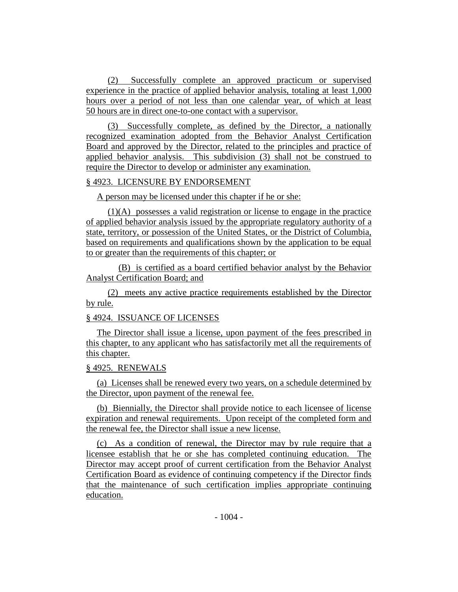(2) Successfully complete an approved practicum or supervised experience in the practice of applied behavior analysis, totaling at least 1,000 hours over a period of not less than one calendar year, of which at least 50 hours are in direct one-to-one contact with a supervisor.

(3) Successfully complete, as defined by the Director, a nationally recognized examination adopted from the Behavior Analyst Certification Board and approved by the Director, related to the principles and practice of applied behavior analysis. This subdivision (3) shall not be construed to require the Director to develop or administer any examination.

### § 4923. LICENSURE BY ENDORSEMENT

A person may be licensed under this chapter if he or she:

(1)(A) possesses a valid registration or license to engage in the practice of applied behavior analysis issued by the appropriate regulatory authority of a state, territory, or possession of the United States, or the District of Columbia, based on requirements and qualifications shown by the application to be equal to or greater than the requirements of this chapter; or

(B) is certified as a board certified behavior analyst by the Behavior Analyst Certification Board; and

(2) meets any active practice requirements established by the Director by rule.

### § 4924. ISSUANCE OF LICENSES

The Director shall issue a license, upon payment of the fees prescribed in this chapter, to any applicant who has satisfactorily met all the requirements of this chapter.

### § 4925. RENEWALS

(a) Licenses shall be renewed every two years, on a schedule determined by the Director, upon payment of the renewal fee.

(b) Biennially, the Director shall provide notice to each licensee of license expiration and renewal requirements. Upon receipt of the completed form and the renewal fee, the Director shall issue a new license.

(c) As a condition of renewal, the Director may by rule require that a licensee establish that he or she has completed continuing education. The Director may accept proof of current certification from the Behavior Analyst Certification Board as evidence of continuing competency if the Director finds that the maintenance of such certification implies appropriate continuing education.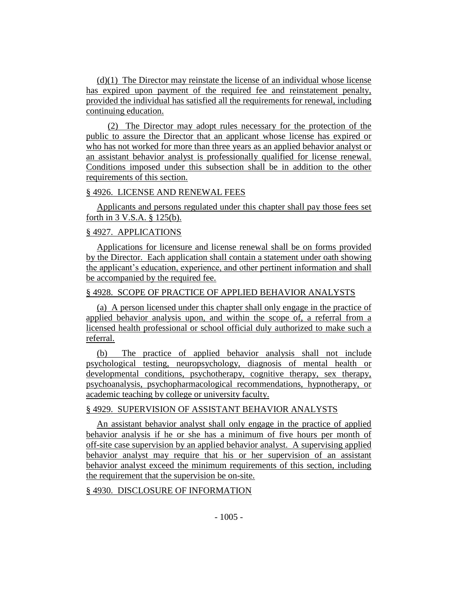(d)(1) The Director may reinstate the license of an individual whose license has expired upon payment of the required fee and reinstatement penalty, provided the individual has satisfied all the requirements for renewal, including continuing education.

(2) The Director may adopt rules necessary for the protection of the public to assure the Director that an applicant whose license has expired or who has not worked for more than three years as an applied behavior analyst or an assistant behavior analyst is professionally qualified for license renewal. Conditions imposed under this subsection shall be in addition to the other requirements of this section.

### § 4926. LICENSE AND RENEWAL FEES

Applicants and persons regulated under this chapter shall pay those fees set forth in 3 V.S.A. § 125(b).

### § 4927. APPLICATIONS

Applications for licensure and license renewal shall be on forms provided by the Director. Each application shall contain a statement under oath showing the applicant's education, experience, and other pertinent information and shall be accompanied by the required fee.

### § 4928. SCOPE OF PRACTICE OF APPLIED BEHAVIOR ANALYSTS

(a) A person licensed under this chapter shall only engage in the practice of applied behavior analysis upon, and within the scope of, a referral from a licensed health professional or school official duly authorized to make such a referral.

(b) The practice of applied behavior analysis shall not include psychological testing, neuropsychology, diagnosis of mental health or developmental conditions, psychotherapy, cognitive therapy, sex therapy, psychoanalysis, psychopharmacological recommendations, hypnotherapy, or academic teaching by college or university faculty.

# § 4929. SUPERVISION OF ASSISTANT BEHAVIOR ANALYSTS

An assistant behavior analyst shall only engage in the practice of applied behavior analysis if he or she has a minimum of five hours per month of off-site case supervision by an applied behavior analyst. A supervising applied behavior analyst may require that his or her supervision of an assistant behavior analyst exceed the minimum requirements of this section, including the requirement that the supervision be on-site.

# § 4930. DISCLOSURE OF INFORMATION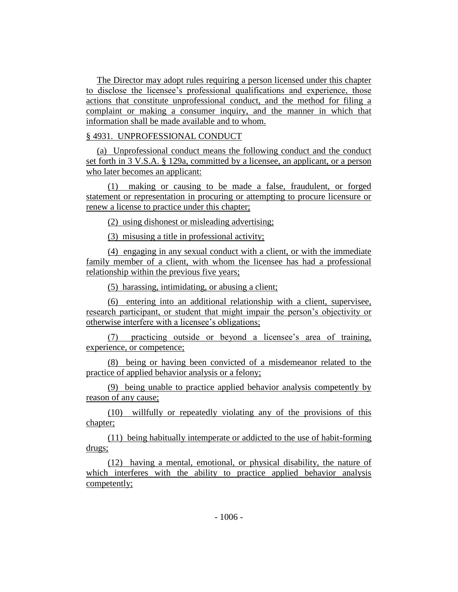The Director may adopt rules requiring a person licensed under this chapter to disclose the licensee's professional qualifications and experience, those actions that constitute unprofessional conduct, and the method for filing a complaint or making a consumer inquiry, and the manner in which that information shall be made available and to whom.

### § 4931. UNPROFESSIONAL CONDUCT

(a) Unprofessional conduct means the following conduct and the conduct set forth in 3 V.S.A. § 129a, committed by a licensee, an applicant, or a person who later becomes an applicant:

(1) making or causing to be made a false, fraudulent, or forged statement or representation in procuring or attempting to procure licensure or renew a license to practice under this chapter;

(2) using dishonest or misleading advertising;

(3) misusing a title in professional activity;

(4) engaging in any sexual conduct with a client, or with the immediate family member of a client, with whom the licensee has had a professional relationship within the previous five years;

(5) harassing, intimidating, or abusing a client;

(6) entering into an additional relationship with a client, supervisee, research participant, or student that might impair the person's objectivity or otherwise interfere with a licensee's obligations;

(7) practicing outside or beyond a licensee's area of training, experience, or competence;

(8) being or having been convicted of a misdemeanor related to the practice of applied behavior analysis or a felony;

(9) being unable to practice applied behavior analysis competently by reason of any cause;

(10) willfully or repeatedly violating any of the provisions of this chapter;

(11) being habitually intemperate or addicted to the use of habit-forming drugs;

(12) having a mental, emotional, or physical disability, the nature of which interferes with the ability to practice applied behavior analysis competently;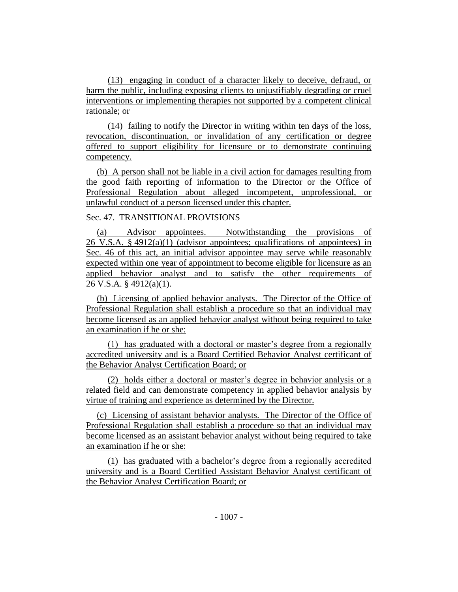(13) engaging in conduct of a character likely to deceive, defraud, or harm the public, including exposing clients to unjustifiably degrading or cruel interventions or implementing therapies not supported by a competent clinical rationale; or

(14) failing to notify the Director in writing within ten days of the loss, revocation, discontinuation, or invalidation of any certification or degree offered to support eligibility for licensure or to demonstrate continuing competency.

(b) A person shall not be liable in a civil action for damages resulting from the good faith reporting of information to the Director or the Office of Professional Regulation about alleged incompetent, unprofessional, or unlawful conduct of a person licensed under this chapter.

Sec. 47. TRANSITIONAL PROVISIONS

(a) Advisor appointees. Notwithstanding the provisions of 26 V.S.A. § 4912(a)(1) (advisor appointees; qualifications of appointees) in Sec. 46 of this act, an initial advisor appointee may serve while reasonably expected within one year of appointment to become eligible for licensure as an applied behavior analyst and to satisfy the other requirements of 26 V.S.A. § 4912(a)(1).

(b) Licensing of applied behavior analysts. The Director of the Office of Professional Regulation shall establish a procedure so that an individual may become licensed as an applied behavior analyst without being required to take an examination if he or she:

(1) has graduated with a doctoral or master's degree from a regionally accredited university and is a Board Certified Behavior Analyst certificant of the Behavior Analyst Certification Board; or

(2) holds either a doctoral or master's degree in behavior analysis or a related field and can demonstrate competency in applied behavior analysis by virtue of training and experience as determined by the Director.

(c) Licensing of assistant behavior analysts. The Director of the Office of Professional Regulation shall establish a procedure so that an individual may become licensed as an assistant behavior analyst without being required to take an examination if he or she:

(1) has graduated with a bachelor's degree from a regionally accredited university and is a Board Certified Assistant Behavior Analyst certificant of the Behavior Analyst Certification Board; or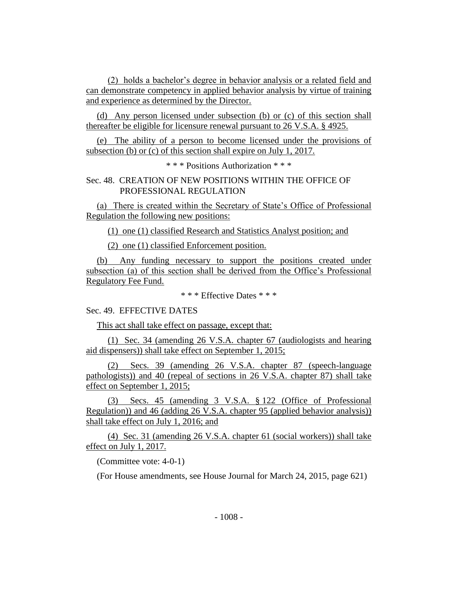(2) holds a bachelor's degree in behavior analysis or a related field and can demonstrate competency in applied behavior analysis by virtue of training and experience as determined by the Director.

(d) Any person licensed under subsection (b) or (c) of this section shall thereafter be eligible for licensure renewal pursuant to 26 V.S.A. § 4925.

(e) The ability of a person to become licensed under the provisions of subsection (b) or (c) of this section shall expire on July 1, 2017.

\* \* \* Positions Authorization \* \* \*

### Sec. 48. CREATION OF NEW POSITIONS WITHIN THE OFFICE OF PROFESSIONAL REGULATION

(a) There is created within the Secretary of State's Office of Professional Regulation the following new positions:

(1) one (1) classified Research and Statistics Analyst position; and

(2) one (1) classified Enforcement position.

(b) Any funding necessary to support the positions created under subsection (a) of this section shall be derived from the Office's Professional Regulatory Fee Fund.

\* \* \* Effective Dates \* \* \*

Sec. 49. EFFECTIVE DATES

This act shall take effect on passage, except that:

(1) Sec. 34 (amending 26 V.S.A. chapter 67 (audiologists and hearing aid dispensers)) shall take effect on September 1, 2015;

(2) Secs. 39 (amending 26 V.S.A. chapter 87 (speech-language pathologists)) and 40 (repeal of sections in 26 V.S.A. chapter 87) shall take effect on September 1, 2015;

(3) Secs. 45 (amending 3 V.S.A. § 122 (Office of Professional Regulation)) and 46 (adding 26 V.S.A. chapter 95 (applied behavior analysis)) shall take effect on July 1, 2016; and

(4) Sec. 31 (amending 26 V.S.A. chapter 61 (social workers)) shall take effect on July 1, 2017.

(Committee vote: 4-0-1)

(For House amendments, see House Journal for March 24, 2015, page 621)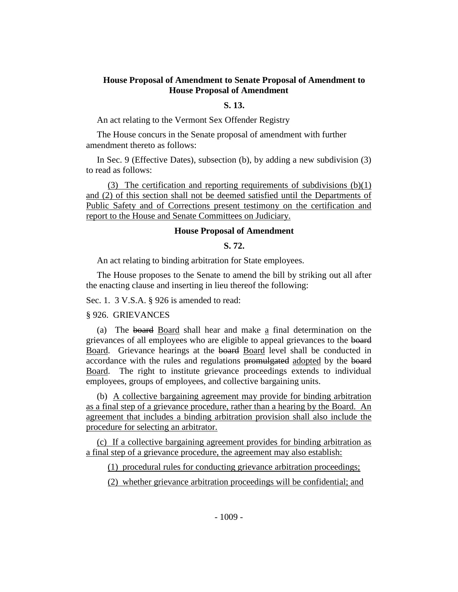### **House Proposal of Amendment to Senate Proposal of Amendment to House Proposal of Amendment**

#### **S. 13.**

An act relating to the Vermont Sex Offender Registry

The House concurs in the Senate proposal of amendment with further amendment thereto as follows:

In Sec. 9 (Effective Dates), subsection (b), by adding a new subdivision (3) to read as follows:

(3) The certification and reporting requirements of subdivisions (b)(1) and (2) of this section shall not be deemed satisfied until the Departments of Public Safety and of Corrections present testimony on the certification and report to the House and Senate Committees on Judiciary.

#### **House Proposal of Amendment**

### **S. 72.**

An act relating to binding arbitration for State employees.

The House proposes to the Senate to amend the bill by striking out all after the enacting clause and inserting in lieu thereof the following:

Sec. 1. 3 V.S.A. § 926 is amended to read:

§ 926. GRIEVANCES

(a) The board Board shall hear and make a final determination on the grievances of all employees who are eligible to appeal grievances to the board Board. Grievance hearings at the board Board level shall be conducted in accordance with the rules and regulations promulgated adopted by the board Board. The right to institute grievance proceedings extends to individual employees, groups of employees, and collective bargaining units.

(b) A collective bargaining agreement may provide for binding arbitration as a final step of a grievance procedure, rather than a hearing by the Board. An agreement that includes a binding arbitration provision shall also include the procedure for selecting an arbitrator.

(c) If a collective bargaining agreement provides for binding arbitration as a final step of a grievance procedure, the agreement may also establish:

(1) procedural rules for conducting grievance arbitration proceedings;

(2) whether grievance arbitration proceedings will be confidential; and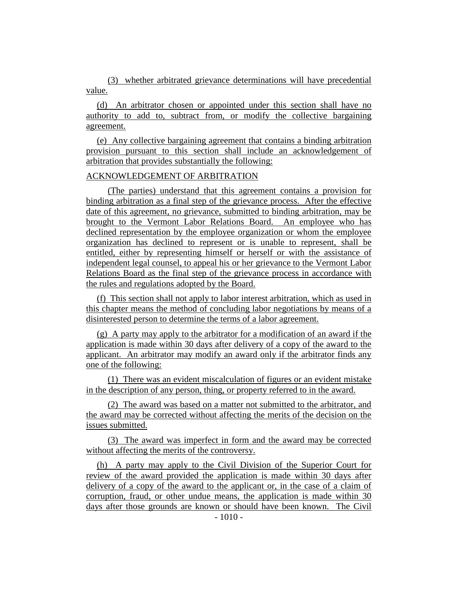(3) whether arbitrated grievance determinations will have precedential value.

(d) An arbitrator chosen or appointed under this section shall have no authority to add to, subtract from, or modify the collective bargaining agreement.

(e) Any collective bargaining agreement that contains a binding arbitration provision pursuant to this section shall include an acknowledgement of arbitration that provides substantially the following:

### ACKNOWLEDGEMENT OF ARBITRATION

(The parties) understand that this agreement contains a provision for binding arbitration as a final step of the grievance process. After the effective date of this agreement, no grievance, submitted to binding arbitration, may be brought to the Vermont Labor Relations Board. An employee who has declined representation by the employee organization or whom the employee organization has declined to represent or is unable to represent, shall be entitled, either by representing himself or herself or with the assistance of independent legal counsel, to appeal his or her grievance to the Vermont Labor Relations Board as the final step of the grievance process in accordance with the rules and regulations adopted by the Board.

(f) This section shall not apply to labor interest arbitration, which as used in this chapter means the method of concluding labor negotiations by means of a disinterested person to determine the terms of a labor agreement.

(g) A party may apply to the arbitrator for a modification of an award if the application is made within 30 days after delivery of a copy of the award to the applicant. An arbitrator may modify an award only if the arbitrator finds any one of the following:

(1) There was an evident miscalculation of figures or an evident mistake in the description of any person, thing, or property referred to in the award.

(2) The award was based on a matter not submitted to the arbitrator, and the award may be corrected without affecting the merits of the decision on the issues submitted.

(3) The award was imperfect in form and the award may be corrected without affecting the merits of the controversy.

(h) A party may apply to the Civil Division of the Superior Court for review of the award provided the application is made within 30 days after delivery of a copy of the award to the applicant or, in the case of a claim of corruption, fraud, or other undue means, the application is made within 30 days after those grounds are known or should have been known. The Civil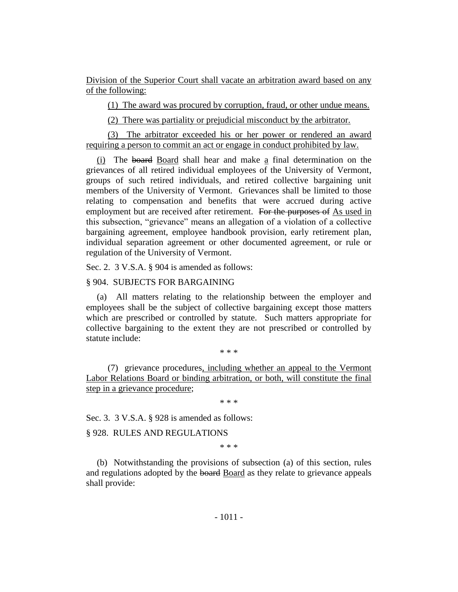Division of the Superior Court shall vacate an arbitration award based on any of the following:

(1) The award was procured by corruption, fraud, or other undue means.

(2) There was partiality or prejudicial misconduct by the arbitrator.

(3) The arbitrator exceeded his or her power or rendered an award requiring a person to commit an act or engage in conduct prohibited by law.

(i) The board Board shall hear and make a final determination on the grievances of all retired individual employees of the University of Vermont, groups of such retired individuals, and retired collective bargaining unit members of the University of Vermont. Grievances shall be limited to those relating to compensation and benefits that were accrued during active employment but are received after retirement. For the purposes of As used in this subsection, "grievance" means an allegation of a violation of a collective bargaining agreement, employee handbook provision, early retirement plan, individual separation agreement or other documented agreement, or rule or regulation of the University of Vermont.

Sec. 2. 3 V.S.A. § 904 is amended as follows:

### § 904. SUBJECTS FOR BARGAINING

(a) All matters relating to the relationship between the employer and employees shall be the subject of collective bargaining except those matters which are prescribed or controlled by statute. Such matters appropriate for collective bargaining to the extent they are not prescribed or controlled by statute include:

\* \* \*

(7) grievance procedures, including whether an appeal to the Vermont Labor Relations Board or binding arbitration, or both, will constitute the final step in a grievance procedure;

\* \* \*

Sec. 3. 3 V.S.A. § 928 is amended as follows:

### § 928. RULES AND REGULATIONS

\* \* \*

(b) Notwithstanding the provisions of subsection (a) of this section, rules and regulations adopted by the board Board as they relate to grievance appeals shall provide: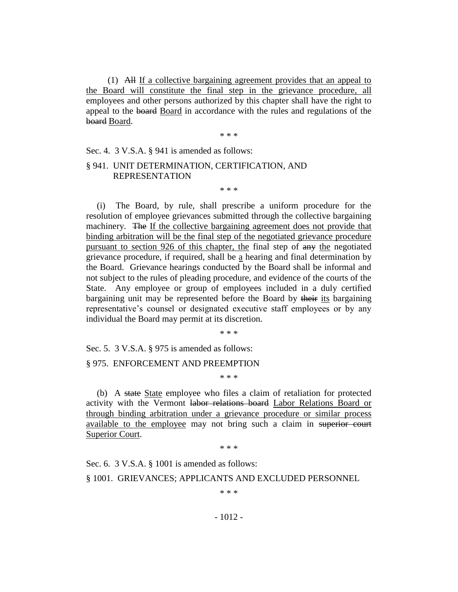(1) All If a collective bargaining agreement provides that an appeal to the Board will constitute the final step in the grievance procedure, all employees and other persons authorized by this chapter shall have the right to appeal to the board Board in accordance with the rules and regulations of the board Board.

\* \* \*

\* \* \*

Sec. 4. 3 V.S.A. § 941 is amended as follows:

### § 941. UNIT DETERMINATION, CERTIFICATION, AND REPRESENTATION

(i) The Board, by rule, shall prescribe a uniform procedure for the resolution of employee grievances submitted through the collective bargaining machinery. The If the collective bargaining agreement does not provide that binding arbitration will be the final step of the negotiated grievance procedure pursuant to section 926 of this chapter, the final step of any the negotiated grievance procedure, if required, shall be  $\underline{a}$  hearing and final determination by the Board. Grievance hearings conducted by the Board shall be informal and not subject to the rules of pleading procedure, and evidence of the courts of the State. Any employee or group of employees included in a duly certified bargaining unit may be represented before the Board by their its bargaining representative's counsel or designated executive staff employees or by any individual the Board may permit at its discretion.

\* \* \*

Sec. 5. 3 V.S.A. § 975 is amended as follows:

§ 975. ENFORCEMENT AND PREEMPTION

\* \* \*

(b) A state State employee who files a claim of retaliation for protected activity with the Vermont labor relations board Labor Relations Board or through binding arbitration under a grievance procedure or similar process available to the employee may not bring such a claim in superior court Superior Court.

\* \* \*

Sec. 6. 3 V.S.A. § 1001 is amended as follows:

§ 1001. GRIEVANCES; APPLICANTS AND EXCLUDED PERSONNEL

\* \* \*

- 1012 -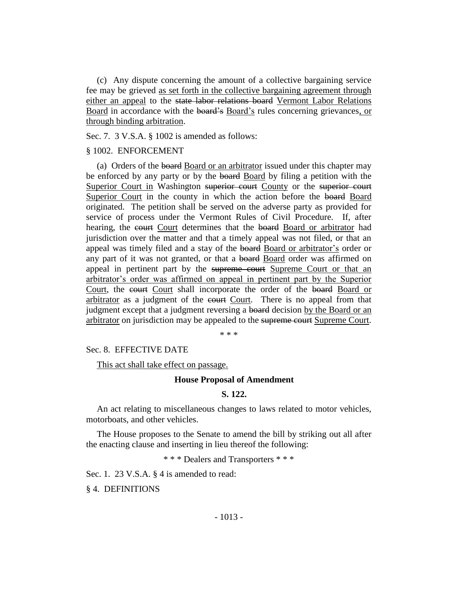(c) Any dispute concerning the amount of a collective bargaining service fee may be grieved as set forth in the collective bargaining agreement through either an appeal to the state labor relations board Vermont Labor Relations Board in accordance with the board's Board's rules concerning grievances, or through binding arbitration.

Sec. 7. 3 V.S.A. § 1002 is amended as follows:

### § 1002. ENFORCEMENT

(a) Orders of the board Board or an arbitrator issued under this chapter may be enforced by any party or by the board Board by filing a petition with the Superior Court in Washington superior court County or the superior court Superior Court in the county in which the action before the board Board originated. The petition shall be served on the adverse party as provided for service of process under the Vermont Rules of Civil Procedure. If, after hearing, the court Court determines that the board Board or arbitrator had jurisdiction over the matter and that a timely appeal was not filed, or that an appeal was timely filed and a stay of the board Board or arbitrator's order or any part of it was not granted, or that a board Board order was affirmed on appeal in pertinent part by the supreme court Supreme Court or that an arbitrator's order was affirmed on appeal in pertinent part by the Superior Court, the court Court shall incorporate the order of the board Board or arbitrator as a judgment of the court Court. There is no appeal from that judgment except that a judgment reversing a board decision by the Board or an arbitrator on jurisdiction may be appealed to the supreme court Supreme Court.

\* \* \*

#### Sec. 8. EFFECTIVE DATE

#### This act shall take effect on passage.

#### **House Proposal of Amendment**

#### **S. 122.**

An act relating to miscellaneous changes to laws related to motor vehicles, motorboats, and other vehicles.

The House proposes to the Senate to amend the bill by striking out all after the enacting clause and inserting in lieu thereof the following:

\* \* \* Dealers and Transporters \* \* \*

Sec. 1. 23 V.S.A. § 4 is amended to read:

§ 4. DEFINITIONS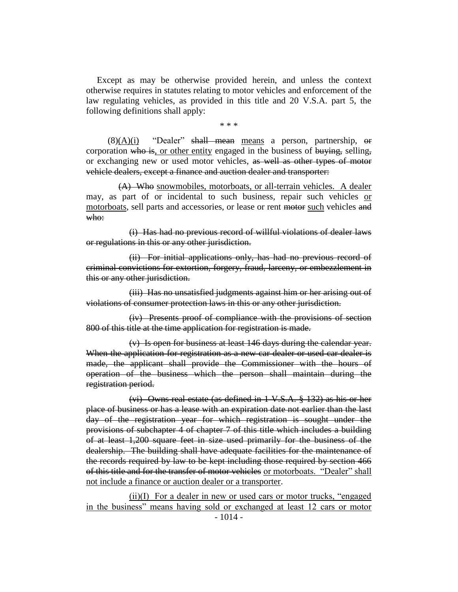Except as may be otherwise provided herein, and unless the context otherwise requires in statutes relating to motor vehicles and enforcement of the law regulating vehicles, as provided in this title and 20 V.S.A. part 5, the following definitions shall apply:

\* \* \*

 $(8)(A)(i)$  "Dealer" shall mean means a person, partnership, or corporation who is, or other entity engaged in the business of  $\frac{1}{2}$  selling, or exchanging new or used motor vehicles, as well as other types of motor vehicle dealers, except a finance and auction dealer and transporter:

(A) Who snowmobiles, motorboats, or all-terrain vehicles. A dealer may, as part of or incidental to such business, repair such vehicles or motorboats, sell parts and accessories, or lease or rent motor such vehicles and who:

(i) Has had no previous record of willful violations of dealer laws or regulations in this or any other jurisdiction.

(ii) For initial applications only, has had no previous record of criminal convictions for extortion, forgery, fraud, larceny, or embezzlement in this or any other jurisdiction.

(iii) Has no unsatisfied judgments against him or her arising out of violations of consumer protection laws in this or any other jurisdiction.

(iv) Presents proof of compliance with the provisions of section 800 of this title at the time application for registration is made.

(v) Is open for business at least 146 days during the calendar year. When the application for registration as a new car dealer or used car dealer is made, the applicant shall provide the Commissioner with the hours of operation of the business which the person shall maintain during the registration period.

(vi) Owns real estate (as defined in 1 V.S.A. § 132) as his or her place of business or has a lease with an expiration date not earlier than the last day of the registration year for which registration is sought under the provisions of subchapter 4 of chapter 7 of this title which includes a building of at least 1,200 square feet in size used primarily for the business of the dealership. The building shall have adequate facilities for the maintenance of the records required by law to be kept including those required by section 466 of this title and for the transfer of motor vehicles or motorboats. "Dealer" shall not include a finance or auction dealer or a transporter.

(ii)(I) For a dealer in new or used cars or motor trucks, "engaged in the business" means having sold or exchanged at least 12 cars or motor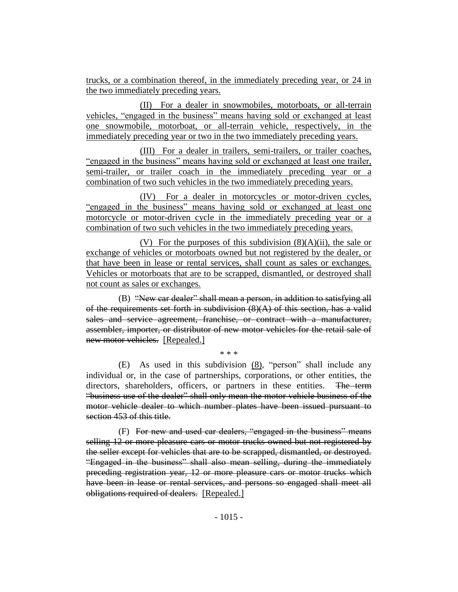trucks, or a combination thereof, in the immediately preceding year, or 24 in the two immediately preceding years.

(II) For a dealer in snowmobiles, motorboats, or all-terrain vehicles, "engaged in the business" means having sold or exchanged at least one snowmobile, motorboat, or all-terrain vehicle, respectively, in the immediately preceding year or two in the two immediately preceding years.

(III) For a dealer in trailers, semi-trailers, or trailer coaches, "engaged in the business" means having sold or exchanged at least one trailer, semi-trailer, or trailer coach in the immediately preceding year or a combination of two such vehicles in the two immediately preceding years.

(IV) For a dealer in motorcycles or motor-driven cycles, "engaged in the business" means having sold or exchanged at least one motorcycle or motor-driven cycle in the immediately preceding year or a combination of two such vehicles in the two immediately preceding years.

(V) For the purposes of this subdivision  $(8)(A)(ii)$ , the sale or exchange of vehicles or motorboats owned but not registered by the dealer, or that have been in lease or rental services, shall count as sales or exchanges. Vehicles or motorboats that are to be scrapped, dismantled, or destroyed shall not count as sales or exchanges.

(B) "New car dealer" shall mean a person, in addition to satisfying all of the requirements set forth in subdivision  $(8)(A)$  of this section, has a valid sales and service agreement, franchise, or contract with a manufacturer, assembler, importer, or distributor of new motor vehicles for the retail sale of new motor vehicles. [Repealed.]

\* \* \*

(E) As used in this subdivision (8), "person" shall include any individual or, in the case of partnerships, corporations, or other entities, the directors, shareholders, officers, or partners in these entities. The term "business use of the dealer" shall only mean the motor vehicle business of the motor vehicle dealer to which number plates have been issued pursuant to section 453 of this title.

(F) For new and used car dealers, "engaged in the business" means selling 12 or more pleasure cars or motor trucks owned but not registered by the seller except for vehicles that are to be scrapped, dismantled, or destroyed. "Engaged in the business" shall also mean selling, during the immediately preceding registration year, 12 or more pleasure cars or motor trucks which have been in lease or rental services, and persons so engaged shall meet all obligations required of dealers. [Repealed.]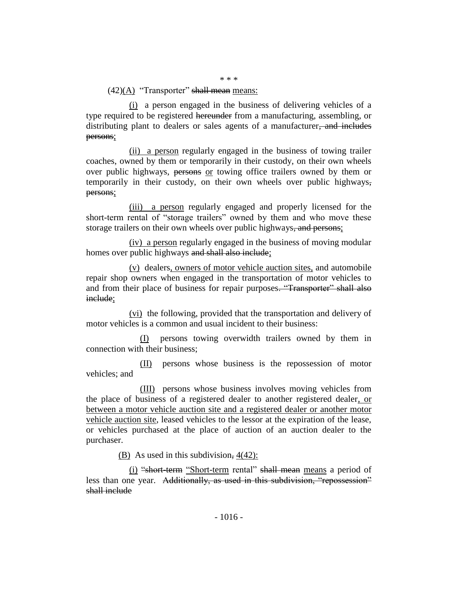### $(42)(A)$  "Transporter" shall mean means:

(i) a person engaged in the business of delivering vehicles of a type required to be registered hereunder from a manufacturing, assembling, or distributing plant to dealers or sales agents of a manufacturer, and includes persons;

(ii) a person regularly engaged in the business of towing trailer coaches, owned by them or temporarily in their custody, on their own wheels over public highways, persons or towing office trailers owned by them or temporarily in their custody, on their own wheels over public highways, persons;

(iii) a person regularly engaged and properly licensed for the short-term rental of "storage trailers" owned by them and who move these storage trailers on their own wheels over public highways, and persons;

(iv) a person regularly engaged in the business of moving modular homes over public highways and shall also include;

(v) dealers, owners of motor vehicle auction sites, and automobile repair shop owners when engaged in the transportation of motor vehicles to and from their place of business for repair purposes. "Transporter" shall also include;

(vi) the following, provided that the transportation and delivery of motor vehicles is a common and usual incident to their business:

(I) persons towing overwidth trailers owned by them in connection with their business;

(II) persons whose business is the repossession of motor vehicles; and

(III) persons whose business involves moving vehicles from the place of business of a registered dealer to another registered dealer, or between a motor vehicle auction site and a registered dealer or another motor vehicle auction site, leased vehicles to the lessor at the expiration of the lease, or vehicles purchased at the place of auction of an auction dealer to the purchaser.

(B) As used in this subdivision,  $4(42)$ :

(i) "short-term "Short-term rental" shall mean means a period of less than one year. Additionally, as used in this subdivision, "repossession" shall include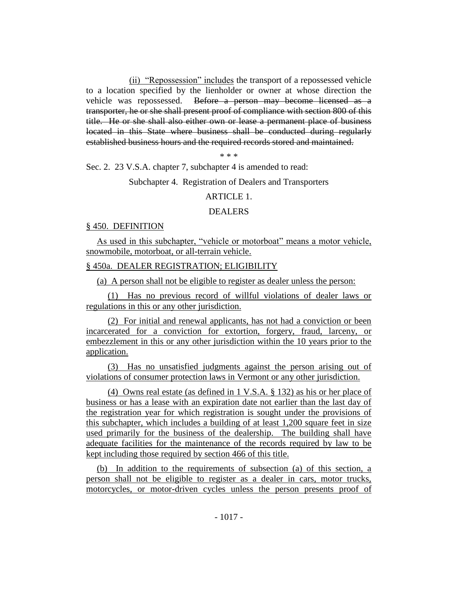(ii) "Repossession" includes the transport of a repossessed vehicle to a location specified by the lienholder or owner at whose direction the vehicle was repossessed. Before a person may become licensed as a transporter, he or she shall present proof of compliance with section 800 of this title. He or she shall also either own or lease a permanent place of business located in this State where business shall be conducted during regularly established business hours and the required records stored and maintained.

\* \* \*

Sec. 2. 23 V.S.A. chapter 7, subchapter 4 is amended to read:

Subchapter 4. Registration of Dealers and Transporters

### ARTICLE 1.

### DEALERS

### § 450. DEFINITION

As used in this subchapter, "vehicle or motorboat" means a motor vehicle, snowmobile, motorboat, or all-terrain vehicle.

#### § 450a. DEALER REGISTRATION; ELIGIBILITY

(a) A person shall not be eligible to register as dealer unless the person:

(1) Has no previous record of willful violations of dealer laws or regulations in this or any other jurisdiction.

(2) For initial and renewal applicants, has not had a conviction or been incarcerated for a conviction for extortion, forgery, fraud, larceny, or embezzlement in this or any other jurisdiction within the 10 years prior to the application.

(3) Has no unsatisfied judgments against the person arising out of violations of consumer protection laws in Vermont or any other jurisdiction.

(4) Owns real estate (as defined in 1 V.S.A. § 132) as his or her place of business or has a lease with an expiration date not earlier than the last day of the registration year for which registration is sought under the provisions of this subchapter, which includes a building of at least 1,200 square feet in size used primarily for the business of the dealership. The building shall have adequate facilities for the maintenance of the records required by law to be kept including those required by section 466 of this title.

(b) In addition to the requirements of subsection (a) of this section, a person shall not be eligible to register as a dealer in cars, motor trucks, motorcycles, or motor-driven cycles unless the person presents proof of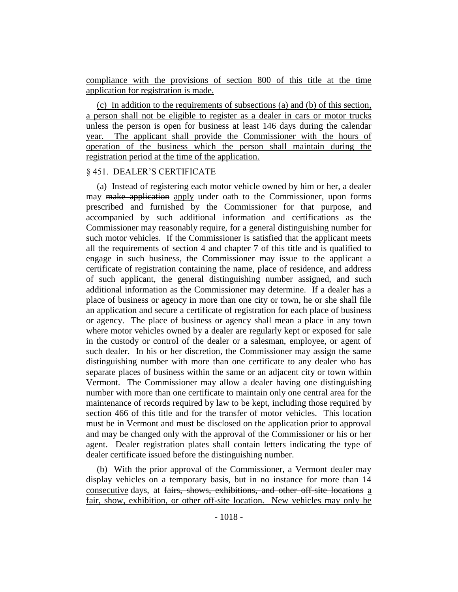compliance with the provisions of section 800 of this title at the time application for registration is made.

(c) In addition to the requirements of subsections (a) and (b) of this section, a person shall not be eligible to register as a dealer in cars or motor trucks unless the person is open for business at least 146 days during the calendar year. The applicant shall provide the Commissioner with the hours of operation of the business which the person shall maintain during the registration period at the time of the application.

### § 451. DEALER'S CERTIFICATE

(a) Instead of registering each motor vehicle owned by him or her, a dealer may make application apply under oath to the Commissioner, upon forms prescribed and furnished by the Commissioner for that purpose, and accompanied by such additional information and certifications as the Commissioner may reasonably require, for a general distinguishing number for such motor vehicles. If the Commissioner is satisfied that the applicant meets all the requirements of section 4 and chapter 7 of this title and is qualified to engage in such business, the Commissioner may issue to the applicant a certificate of registration containing the name, place of residence, and address of such applicant, the general distinguishing number assigned, and such additional information as the Commissioner may determine. If a dealer has a place of business or agency in more than one city or town, he or she shall file an application and secure a certificate of registration for each place of business or agency. The place of business or agency shall mean a place in any town where motor vehicles owned by a dealer are regularly kept or exposed for sale in the custody or control of the dealer or a salesman, employee, or agent of such dealer. In his or her discretion, the Commissioner may assign the same distinguishing number with more than one certificate to any dealer who has separate places of business within the same or an adjacent city or town within Vermont. The Commissioner may allow a dealer having one distinguishing number with more than one certificate to maintain only one central area for the maintenance of records required by law to be kept, including those required by section 466 of this title and for the transfer of motor vehicles. This location must be in Vermont and must be disclosed on the application prior to approval and may be changed only with the approval of the Commissioner or his or her agent. Dealer registration plates shall contain letters indicating the type of dealer certificate issued before the distinguishing number.

(b) With the prior approval of the Commissioner, a Vermont dealer may display vehicles on a temporary basis, but in no instance for more than 14 consecutive days, at fairs, shows, exhibitions, and other off-site locations a fair, show, exhibition, or other off-site location. New vehicles may only be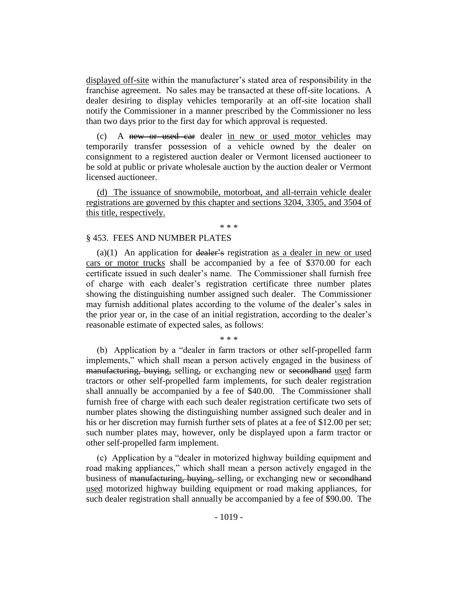displayed off-site within the manufacturer's stated area of responsibility in the franchise agreement. No sales may be transacted at these off-site locations. A dealer desiring to display vehicles temporarily at an off-site location shall notify the Commissioner in a manner prescribed by the Commissioner no less than two days prior to the first day for which approval is requested.

(c) A new or used car dealer in new or used motor vehicles may temporarily transfer possession of a vehicle owned by the dealer on consignment to a registered auction dealer or Vermont licensed auctioneer to be sold at public or private wholesale auction by the auction dealer or Vermont licensed auctioneer.

(d) The issuance of snowmobile, motorboat, and all-terrain vehicle dealer registrations are governed by this chapter and sections 3204, 3305, and 3504 of this title, respectively.

\* \* \*

#### § 453. FEES AND NUMBER PLATES

 $(a)(1)$  An application for dealer's registration as a dealer in new or used cars or motor trucks shall be accompanied by a fee of \$370.00 for each certificate issued in such dealer's name. The Commissioner shall furnish free of charge with each dealer's registration certificate three number plates showing the distinguishing number assigned such dealer. The Commissioner may furnish additional plates according to the volume of the dealer's sales in the prior year or, in the case of an initial registration, according to the dealer's reasonable estimate of expected sales, as follows:

\* \* \*

(b) Application by a "dealer in farm tractors or other self-propelled farm implements," which shall mean a person actively engaged in the business of manufacturing, buying, selling, or exchanging new or secondhand used farm tractors or other self-propelled farm implements, for such dealer registration shall annually be accompanied by a fee of \$40.00. The Commissioner shall furnish free of charge with each such dealer registration certificate two sets of number plates showing the distinguishing number assigned such dealer and in his or her discretion may furnish further sets of plates at a fee of \$12.00 per set; such number plates may, however, only be displayed upon a farm tractor or other self-propelled farm implement.

(c) Application by a "dealer in motorized highway building equipment and road making appliances," which shall mean a person actively engaged in the business of <del>manufacturing, buying, selling,</del> or exchanging new or second hand used motorized highway building equipment or road making appliances, for such dealer registration shall annually be accompanied by a fee of \$90.00. The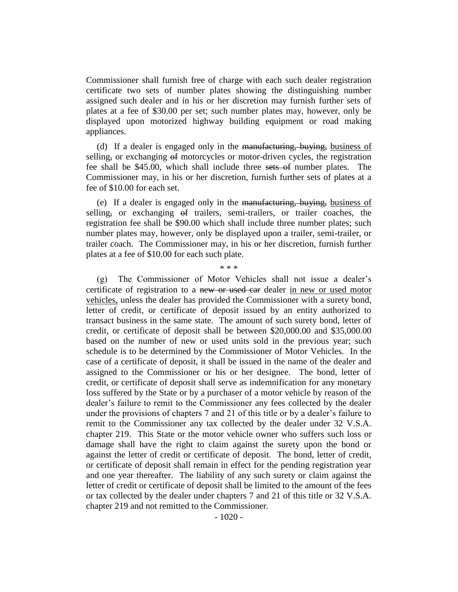Commissioner shall furnish free of charge with each such dealer registration certificate two sets of number plates showing the distinguishing number assigned such dealer and in his or her discretion may furnish further sets of plates at a fee of \$30.00 per set; such number plates may, however, only be displayed upon motorized highway building equipment or road making appliances.

(d) If a dealer is engaged only in the manufacturing, buying, business of selling, or exchanging of motorcycles or motor-driven cycles, the registration fee shall be \$45.00, which shall include three sets of number plates. The Commissioner may, in his or her discretion, furnish further sets of plates at a fee of \$10.00 for each set.

(e) If a dealer is engaged only in the manufacturing, buying, business of selling, or exchanging of trailers, semi-trailers, or trailer coaches, the registration fee shall be \$90.00 which shall include three number plates; such number plates may, however, only be displayed upon a trailer, semi-trailer, or trailer coach. The Commissioner may, in his or her discretion, furnish further plates at a fee of \$10.00 for each such plate.

\* \* \*

(g) The Commissioner of Motor Vehicles shall not issue a dealer's certificate of registration to a new or used car dealer in new or used motor vehicles, unless the dealer has provided the Commissioner with a surety bond, letter of credit, or certificate of deposit issued by an entity authorized to transact business in the same state. The amount of such surety bond, letter of credit, or certificate of deposit shall be between \$20,000.00 and \$35,000.00 based on the number of new or used units sold in the previous year; such schedule is to be determined by the Commissioner of Motor Vehicles. In the case of a certificate of deposit, it shall be issued in the name of the dealer and assigned to the Commissioner or his or her designee. The bond, letter of credit, or certificate of deposit shall serve as indemnification for any monetary loss suffered by the State or by a purchaser of a motor vehicle by reason of the dealer's failure to remit to the Commissioner any fees collected by the dealer under the provisions of chapters 7 and 21 of this title or by a dealer's failure to remit to the Commissioner any tax collected by the dealer under 32 V.S.A. chapter 219. This State or the motor vehicle owner who suffers such loss or damage shall have the right to claim against the surety upon the bond or against the letter of credit or certificate of deposit. The bond, letter of credit, or certificate of deposit shall remain in effect for the pending registration year and one year thereafter. The liability of any such surety or claim against the letter of credit or certificate of deposit shall be limited to the amount of the fees or tax collected by the dealer under chapters 7 and 21 of this title or 32 V.S.A. chapter 219 and not remitted to the Commissioner.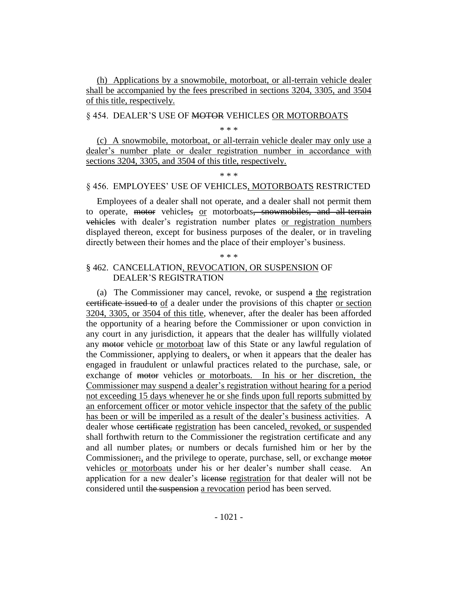(h) Applications by a snowmobile, motorboat, or all-terrain vehicle dealer shall be accompanied by the fees prescribed in sections 3204, 3305, and 3504 of this title, respectively.

### § 454. DEALER'S USE OF MOTOR VEHICLES OR MOTORBOATS

\* \* \*

(c) A snowmobile, motorboat, or all-terrain vehicle dealer may only use a dealer's number plate or dealer registration number in accordance with sections 3204, 3305, and 3504 of this title, respectively.

\* \* \*

### § 456. EMPLOYEES' USE OF VEHICLES, MOTORBOATS RESTRICTED

Employees of a dealer shall not operate, and a dealer shall not permit them to operate, motor vehicles, or motorboats, snowmobiles, and all-terrain vehicles with dealer's registration number plates or registration numbers displayed thereon, except for business purposes of the dealer, or in traveling directly between their homes and the place of their employer's business.

### \* \* \*

### § 462. CANCELLATION, REVOCATION, OR SUSPENSION OF DEALER'S REGISTRATION

(a) The Commissioner may cancel, revoke, or suspend a the registration certificate issued to of a dealer under the provisions of this chapter or section 3204, 3305, or 3504 of this title, whenever, after the dealer has been afforded the opportunity of a hearing before the Commissioner or upon conviction in any court in any jurisdiction, it appears that the dealer has willfully violated any motor vehicle or motorboat law of this State or any lawful regulation of the Commissioner, applying to dealers, or when it appears that the dealer has engaged in fraudulent or unlawful practices related to the purchase, sale, or exchange of motor vehicles or motorboats. In his or her discretion, the Commissioner may suspend a dealer's registration without hearing for a period not exceeding 15 days whenever he or she finds upon full reports submitted by an enforcement officer or motor vehicle inspector that the safety of the public has been or will be imperiled as a result of the dealer's business activities. A dealer whose certificate registration has been canceled, revoked, or suspended shall forthwith return to the Commissioner the registration certificate and any and all number plates, or numbers or decals furnished him or her by the Commissioner;, and the privilege to operate, purchase, sell, or exchange motor vehicles or motorboats under his or her dealer's number shall cease. An application for a new dealer's license registration for that dealer will not be considered until the suspension a revocation period has been served.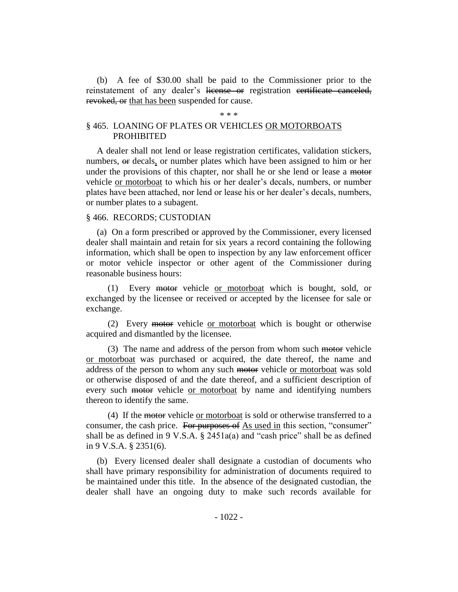(b) A fee of \$30.00 shall be paid to the Commissioner prior to the reinstatement of any dealer's license or registration certificate canceled, revoked, or that has been suspended for cause.

#### \* \* \*

### § 465. LOANING OF PLATES OR VEHICLES OR MOTORBOATS PROHIBITED

A dealer shall not lend or lease registration certificates, validation stickers, numbers, or decals, or number plates which have been assigned to him or her under the provisions of this chapter, nor shall he or she lend or lease a motor vehicle or motorboat to which his or her dealer's decals, numbers, or number plates have been attached, nor lend or lease his or her dealer's decals, numbers, or number plates to a subagent.

### § 466. RECORDS; CUSTODIAN

(a) On a form prescribed or approved by the Commissioner, every licensed dealer shall maintain and retain for six years a record containing the following information, which shall be open to inspection by any law enforcement officer or motor vehicle inspector or other agent of the Commissioner during reasonable business hours:

(1) Every motor vehicle or motorboat which is bought, sold, or exchanged by the licensee or received or accepted by the licensee for sale or exchange.

(2) Every motor vehicle or motorboat which is bought or otherwise acquired and dismantled by the licensee.

(3) The name and address of the person from whom such motor vehicle or motorboat was purchased or acquired, the date thereof, the name and address of the person to whom any such motor vehicle or motorboat was sold or otherwise disposed of and the date thereof, and a sufficient description of every such motor vehicle or motorboat by name and identifying numbers thereon to identify the same.

(4) If the motor vehicle or motorboat is sold or otherwise transferred to a consumer, the cash price. For purposes of As used in this section, "consumer" shall be as defined in 9 V.S.A. § 2451a(a) and "cash price" shall be as defined in 9 V.S.A. § 2351(6).

(b) Every licensed dealer shall designate a custodian of documents who shall have primary responsibility for administration of documents required to be maintained under this title. In the absence of the designated custodian, the dealer shall have an ongoing duty to make such records available for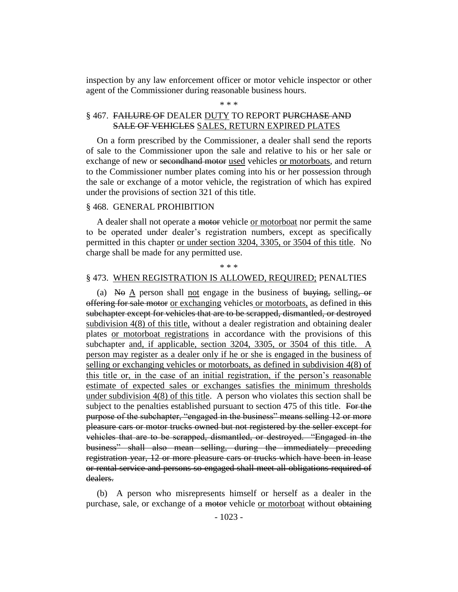inspection by any law enforcement officer or motor vehicle inspector or other agent of the Commissioner during reasonable business hours.

#### \* \* \*

# § 467. FAILURE OF DEALER DUTY TO REPORT PURCHASE AND SALE OF VEHICLES SALES, RETURN EXPIRED PLATES

On a form prescribed by the Commissioner, a dealer shall send the reports of sale to the Commissioner upon the sale and relative to his or her sale or exchange of new or <del>secondhand motor</del> used vehicles or motorboats, and return to the Commissioner number plates coming into his or her possession through the sale or exchange of a motor vehicle, the registration of which has expired under the provisions of section 321 of this title.

### § 468. GENERAL PROHIBITION

A dealer shall not operate a motor vehicle or motorboat nor permit the same to be operated under dealer's registration numbers, except as specifically permitted in this chapter or under section 3204, 3305, or 3504 of this title. No charge shall be made for any permitted use.

\* \* \*

#### § 473. WHEN REGISTRATION IS ALLOWED, REQUIRED; PENALTIES

(a) No A person shall not engage in the business of buying, selling,  $\sigma$ offering for sale motor or exchanging vehicles or motorboats, as defined in this subchapter except for vehicles that are to be scrapped, dismantled, or destroyed subdivision 4(8) of this title, without a dealer registration and obtaining dealer plates or motorboat registrations in accordance with the provisions of this subchapter and, if applicable, section 3204, 3305, or 3504 of this title. A person may register as a dealer only if he or she is engaged in the business of selling or exchanging vehicles or motorboats, as defined in subdivision 4(8) of this title or, in the case of an initial registration, if the person's reasonable estimate of expected sales or exchanges satisfies the minimum thresholds under subdivision 4(8) of this title. A person who violates this section shall be subject to the penalties established pursuant to section 475 of this title. For the purpose of the subchapter, "engaged in the business" means selling 12 or more pleasure cars or motor trucks owned but not registered by the seller except for vehicles that are to be scrapped, dismantled, or destroyed. "Engaged in the business" shall also mean selling, during the immediately preceding registration year, 12 or more pleasure cars or trucks which have been in lease or rental service and persons so engaged shall meet all obligations required of dealers.

(b) A person who misrepresents himself or herself as a dealer in the purchase, sale, or exchange of a motor vehicle or motorboat without obtaining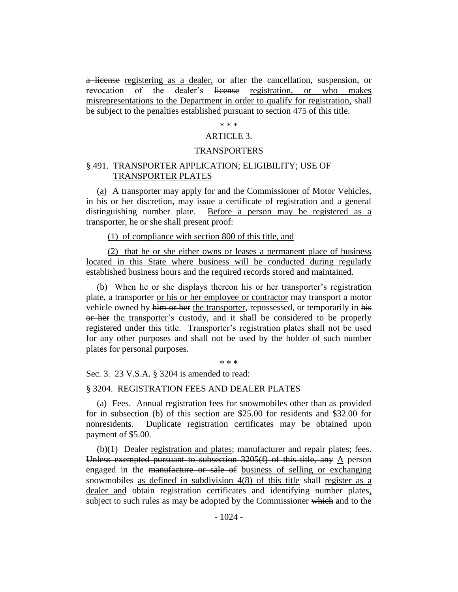a license registering as a dealer, or after the cancellation, suspension, or revocation of the dealer's license registration, or who makes misrepresentations to the Department in order to qualify for registration, shall be subject to the penalties established pursuant to section 475 of this title.

### \* \* \*

### ARTICLE 3.

### TRANSPORTERS

### § 491. TRANSPORTER APPLICATION; ELIGIBILITY; USE OF TRANSPORTER PLATES

(a) A transporter may apply for and the Commissioner of Motor Vehicles, in his or her discretion, may issue a certificate of registration and a general distinguishing number plate. Before a person may be registered as a transporter, he or she shall present proof:

(1) of compliance with section 800 of this title, and

(2) that he or she either owns or leases a permanent place of business located in this State where business will be conducted during regularly established business hours and the required records stored and maintained.

(b) When he or she displays thereon his or her transporter's registration plate, a transporter or his or her employee or contractor may transport a motor vehicle owned by him or her the transporter, repossessed, or temporarily in his or her the transporter's custody, and it shall be considered to be properly registered under this title. Transporter's registration plates shall not be used for any other purposes and shall not be used by the holder of such number plates for personal purposes.

\* \* \*

Sec. 3. 23 V.S.A. § 3204 is amended to read:

### § 3204. REGISTRATION FEES AND DEALER PLATES

(a) Fees. Annual registration fees for snowmobiles other than as provided for in subsection (b) of this section are \$25.00 for residents and \$32.00 for nonresidents. Duplicate registration certificates may be obtained upon payment of \$5.00.

 $(b)(1)$  Dealer registration and plates; manufacturer and repair plates; fees. Unless exempted pursuant to subsection  $3205(f)$  of this title, any A person engaged in the manufacture or sale of business of selling or exchanging snowmobiles as defined in subdivision 4(8) of this title shall register as a dealer and obtain registration certificates and identifying number plates, subject to such rules as may be adopted by the Commissioner which and to the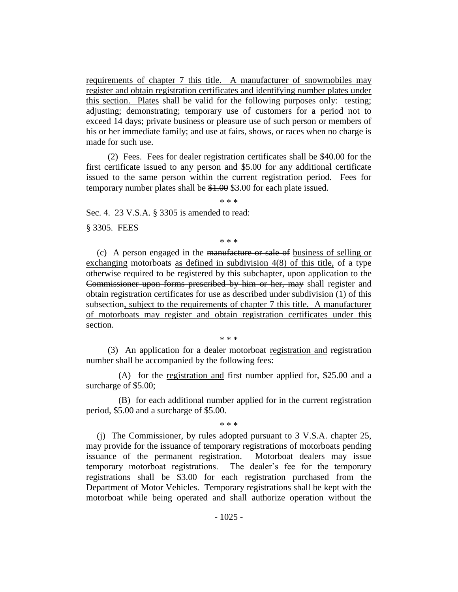requirements of chapter 7 this title. A manufacturer of snowmobiles may register and obtain registration certificates and identifying number plates under this section. Plates shall be valid for the following purposes only: testing; adjusting; demonstrating; temporary use of customers for a period not to exceed 14 days; private business or pleasure use of such person or members of his or her immediate family; and use at fairs, shows, or races when no charge is made for such use.

(2) Fees. Fees for dealer registration certificates shall be \$40.00 for the first certificate issued to any person and \$5.00 for any additional certificate issued to the same person within the current registration period. Fees for temporary number plates shall be \$1.00 \$3.00 for each plate issued.

\* \* \*

Sec. 4. 23 V.S.A. § 3305 is amended to read:

§ 3305. FEES

\* \* \*

(c) A person engaged in the manufacture or sale of business of selling or exchanging motorboats as defined in subdivision 4(8) of this title, of a type otherwise required to be registered by this subchapter, upon application to the Commissioner upon forms prescribed by him or her, may shall register and obtain registration certificates for use as described under subdivision (1) of this subsection, subject to the requirements of chapter 7 this title. A manufacturer of motorboats may register and obtain registration certificates under this section.

\* \* \*

(3) An application for a dealer motorboat registration and registration number shall be accompanied by the following fees:

(A) for the registration and first number applied for, \$25.00 and a surcharge of \$5.00;

(B) for each additional number applied for in the current registration period, \$5.00 and a surcharge of \$5.00.

\* \* \*

(j) The Commissioner, by rules adopted pursuant to 3 V.S.A. chapter 25, may provide for the issuance of temporary registrations of motorboats pending issuance of the permanent registration. Motorboat dealers may issue temporary motorboat registrations. The dealer's fee for the temporary registrations shall be \$3.00 for each registration purchased from the Department of Motor Vehicles. Temporary registrations shall be kept with the motorboat while being operated and shall authorize operation without the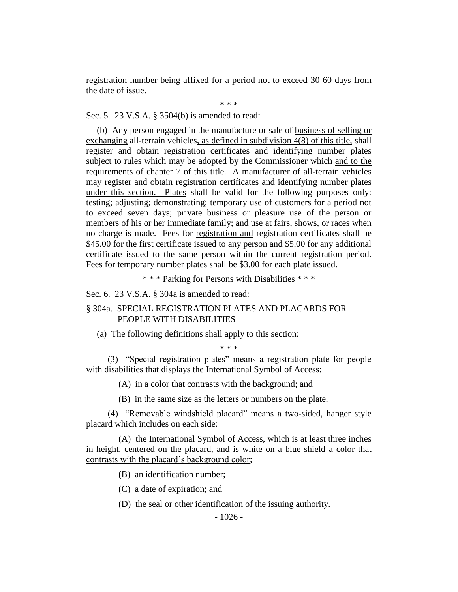registration number being affixed for a period not to exceed 30 60 days from the date of issue.

\* \* \*

Sec. 5. 23 V.S.A. § 3504(b) is amended to read:

(b) Any person engaged in the manufacture or sale of business of selling or exchanging all-terrain vehicles, as defined in subdivision 4(8) of this title, shall register and obtain registration certificates and identifying number plates subject to rules which may be adopted by the Commissioner which and to the requirements of chapter 7 of this title. A manufacturer of all-terrain vehicles may register and obtain registration certificates and identifying number plates under this section. Plates shall be valid for the following purposes only: testing; adjusting; demonstrating; temporary use of customers for a period not to exceed seven days; private business or pleasure use of the person or members of his or her immediate family; and use at fairs, shows, or races when no charge is made. Fees for registration and registration certificates shall be \$45.00 for the first certificate issued to any person and \$5.00 for any additional certificate issued to the same person within the current registration period. Fees for temporary number plates shall be \$3.00 for each plate issued.

\* \* \* Parking for Persons with Disabilities \* \* \*

Sec. 6. 23 V.S.A. § 304a is amended to read:

### § 304a. SPECIAL REGISTRATION PLATES AND PLACARDS FOR PEOPLE WITH DISABILITIES

(a) The following definitions shall apply to this section:

\* \* \*

(3) "Special registration plates" means a registration plate for people with disabilities that displays the International Symbol of Access:

(A) in a color that contrasts with the background; and

(B) in the same size as the letters or numbers on the plate.

(4) "Removable windshield placard" means a two-sided, hanger style placard which includes on each side:

(A) the International Symbol of Access, which is at least three inches in height, centered on the placard, and is white on a blue shield a color that contrasts with the placard's background color;

- (B) an identification number;
- (C) a date of expiration; and
- (D) the seal or other identification of the issuing authority.

- 1026 -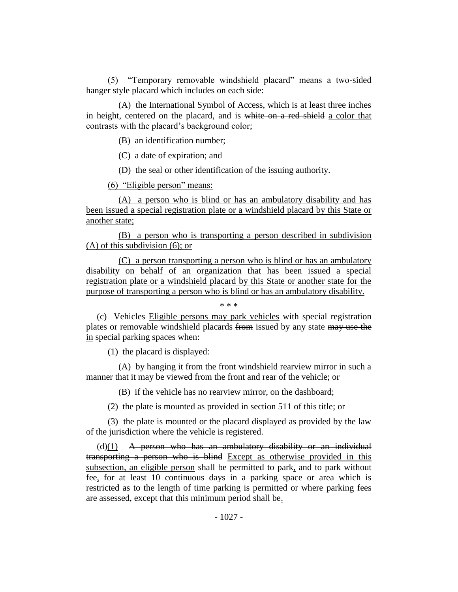(5) "Temporary removable windshield placard" means a two-sided hanger style placard which includes on each side:

(A) the International Symbol of Access, which is at least three inches in height, centered on the placard, and is white on a red shield a color that contrasts with the placard's background color;

(B) an identification number;

(C) a date of expiration; and

(D) the seal or other identification of the issuing authority.

(6) "Eligible person" means:

(A) a person who is blind or has an ambulatory disability and has been issued a special registration plate or a windshield placard by this State or another state;

(B) a person who is transporting a person described in subdivision (A) of this subdivision (6); or

(C) a person transporting a person who is blind or has an ambulatory disability on behalf of an organization that has been issued a special registration plate or a windshield placard by this State or another state for the purpose of transporting a person who is blind or has an ambulatory disability.

(c) Vehicles Eligible persons may park vehicles with special registration plates or removable windshield placards from issued by any state may use the in special parking spaces when:

\* \* \*

(1) the placard is displayed:

(A) by hanging it from the front windshield rearview mirror in such a manner that it may be viewed from the front and rear of the vehicle; or

(B) if the vehicle has no rearview mirror, on the dashboard;

(2) the plate is mounted as provided in section 511 of this title; or

(3) the plate is mounted or the placard displayed as provided by the law of the jurisdiction where the vehicle is registered.

 $(d)(1)$  A person who has an ambulatory disability or an individual transporting a person who is blind Except as otherwise provided in this subsection, an eligible person shall be permitted to park, and to park without fee, for at least 10 continuous days in a parking space or area which is restricted as to the length of time parking is permitted or where parking fees are assessed, except that this minimum period shall be.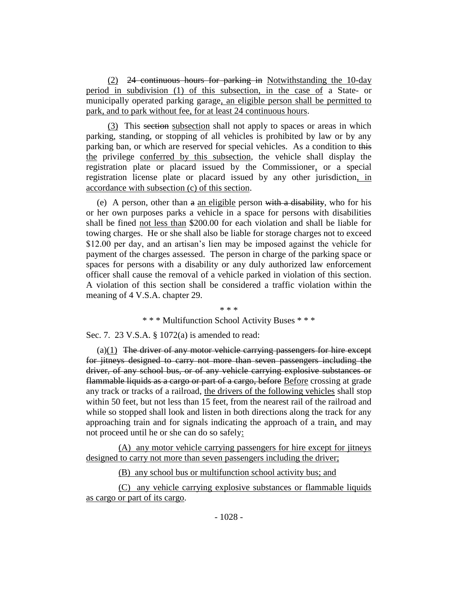(2) 24 continuous hours for parking in Notwithstanding the 10-day period in subdivision (1) of this subsection, in the case of a State- or municipally operated parking garage, an eligible person shall be permitted to park, and to park without fee, for at least 24 continuous hours.

(3) This section subsection shall not apply to spaces or areas in which parking, standing, or stopping of all vehicles is prohibited by law or by any parking ban, or which are reserved for special vehicles. As a condition to this the privilege conferred by this subsection, the vehicle shall display the registration plate or placard issued by the Commissioner, or a special registration license plate or placard issued by any other jurisdiction, in accordance with subsection (c) of this section.

(e) A person, other than  $\theta$  an eligible person with a disability, who for his or her own purposes parks a vehicle in a space for persons with disabilities shall be fined not less than \$200.00 for each violation and shall be liable for towing charges. He or she shall also be liable for storage charges not to exceed \$12.00 per day, and an artisan's lien may be imposed against the vehicle for payment of the charges assessed. The person in charge of the parking space or spaces for persons with a disability or any duly authorized law enforcement officer shall cause the removal of a vehicle parked in violation of this section. A violation of this section shall be considered a traffic violation within the meaning of 4 V.S.A. chapter 29.

#### \* \* \*

#### \* \* \* Multifunction School Activity Buses \* \* \*

Sec. 7. 23 V.S.A. § 1072(a) is amended to read:

 $(a)(1)$  The driver of any motor vehicle carrying passengers for hire except for jitneys designed to carry not more than seven passengers including the driver, of any school bus, or of any vehicle carrying explosive substances or flammable liquids as a cargo or part of a cargo, before Before crossing at grade any track or tracks of a railroad, the drivers of the following vehicles shall stop within 50 feet, but not less than 15 feet, from the nearest rail of the railroad and while so stopped shall look and listen in both directions along the track for any approaching train and for signals indicating the approach of a train, and may not proceed until he or she can do so safely:

(A) any motor vehicle carrying passengers for hire except for jitneys designed to carry not more than seven passengers including the driver;

(B) any school bus or multifunction school activity bus; and

(C) any vehicle carrying explosive substances or flammable liquids as cargo or part of its cargo.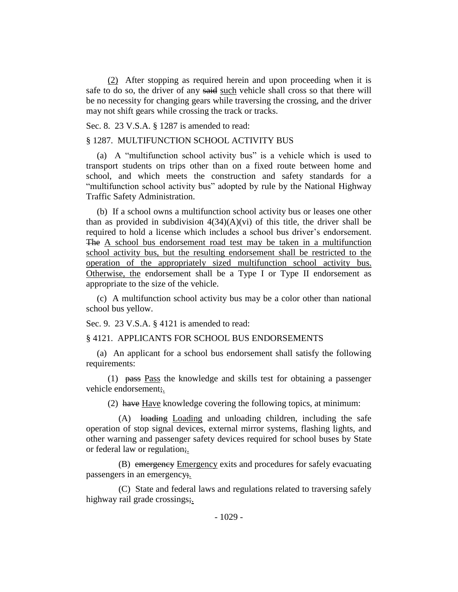(2) After stopping as required herein and upon proceeding when it is safe to do so, the driver of any said such vehicle shall cross so that there will be no necessity for changing gears while traversing the crossing, and the driver may not shift gears while crossing the track or tracks.

Sec. 8. 23 V.S.A. § 1287 is amended to read:

### § 1287. MULTIFUNCTION SCHOOL ACTIVITY BUS

(a) A "multifunction school activity bus" is a vehicle which is used to transport students on trips other than on a fixed route between home and school, and which meets the construction and safety standards for a "multifunction school activity bus" adopted by rule by the National Highway Traffic Safety Administration.

(b) If a school owns a multifunction school activity bus or leases one other than as provided in subdivision  $4(34)(A)(vi)$  of this title, the driver shall be required to hold a license which includes a school bus driver's endorsement. The A school bus endorsement road test may be taken in a multifunction school activity bus, but the resulting endorsement shall be restricted to the operation of the appropriately sized multifunction school activity bus. Otherwise, the endorsement shall be a Type I or Type II endorsement as appropriate to the size of the vehicle.

(c) A multifunction school activity bus may be a color other than national school bus yellow.

Sec. 9. 23 V.S.A. § 4121 is amended to read:

§ 4121. APPLICANTS FOR SCHOOL BUS ENDORSEMENTS

(a) An applicant for a school bus endorsement shall satisfy the following requirements:

(1) pass Pass the knowledge and skills test for obtaining a passenger vehicle endorsement;.

(2) have Have knowledge covering the following topics, at minimum:

(A) loading Loading and unloading children, including the safe operation of stop signal devices, external mirror systems, flashing lights, and other warning and passenger safety devices required for school buses by State or federal law or regulation;

(B) emergency Emergency exits and procedures for safely evacuating passengers in an emergency;.

(C) State and federal laws and regulations related to traversing safely highway rail grade crossings;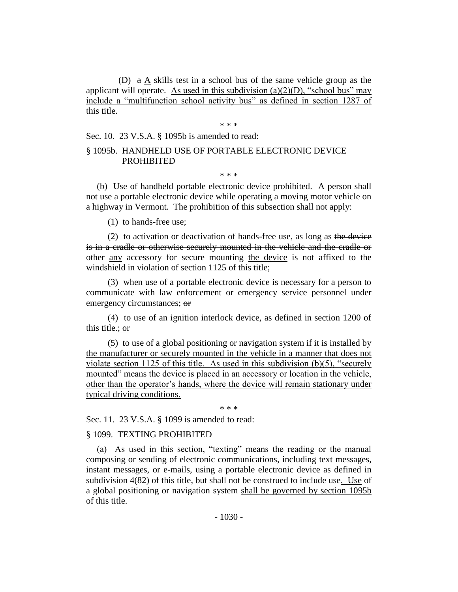(D) a A skills test in a school bus of the same vehicle group as the applicant will operate. As used in this subdivision  $(a)(2)(D)$ , "school bus" may include a "multifunction school activity bus" as defined in section 1287 of this title.

\* \* \*

Sec. 10. 23 V.S.A. § 1095b is amended to read:

# § 1095b. HANDHELD USE OF PORTABLE ELECTRONIC DEVICE PROHIBITED

\* \* \*

(b) Use of handheld portable electronic device prohibited. A person shall not use a portable electronic device while operating a moving motor vehicle on a highway in Vermont. The prohibition of this subsection shall not apply:

(1) to hands-free use;

(2) to activation or deactivation of hands-free use, as long as the device is in a cradle or otherwise securely mounted in the vehicle and the cradle or other any accessory for secure mounting the device is not affixed to the windshield in violation of section 1125 of this title;

(3) when use of a portable electronic device is necessary for a person to communicate with law enforcement or emergency service personnel under emergency circumstances; or

(4) to use of an ignition interlock device, as defined in section 1200 of this title.; or

(5) to use of a global positioning or navigation system if it is installed by the manufacturer or securely mounted in the vehicle in a manner that does not violate section 1125 of this title. As used in this subdivision (b)(5), "securely mounted" means the device is placed in an accessory or location in the vehicle, other than the operator's hands, where the device will remain stationary under typical driving conditions.

\* \* \*

Sec. 11. 23 V.S.A. § 1099 is amended to read:

### § 1099. TEXTING PROHIBITED

(a) As used in this section, "texting" means the reading or the manual composing or sending of electronic communications, including text messages, instant messages, or e-mails, using a portable electronic device as defined in subdivision  $4(82)$  of this title<del>, but shall not be construed to include use</del>. Use of a global positioning or navigation system shall be governed by section 1095b of this title.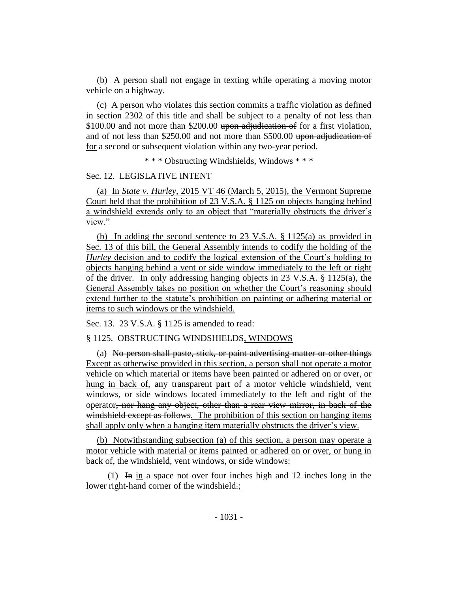(b) A person shall not engage in texting while operating a moving motor vehicle on a highway.

(c) A person who violates this section commits a traffic violation as defined in section 2302 of this title and shall be subject to a penalty of not less than \$100.00 and not more than \$200.00 upon adjudication of for a first violation, and of not less than \$250.00 and not more than \$500.00 upon adjudication of for a second or subsequent violation within any two-year period.

\* \* \* Obstructing Windshields, Windows \* \* \*

#### Sec. 12. LEGISLATIVE INTENT

(a) In *State v. Hurley*, 2015 VT 46 (March 5, 2015), the Vermont Supreme Court held that the prohibition of 23 V.S.A. § 1125 on objects hanging behind a windshield extends only to an object that "materially obstructs the driver's view."

(b) In adding the second sentence to 23 V.S.A. § 1125(a) as provided in Sec. 13 of this bill, the General Assembly intends to codify the holding of the *Hurley* decision and to codify the logical extension of the Court's holding to objects hanging behind a vent or side window immediately to the left or right of the driver. In only addressing hanging objects in 23 V.S.A. § 1125(a), the General Assembly takes no position on whether the Court's reasoning should extend further to the statute's prohibition on painting or adhering material or items to such windows or the windshield.

Sec. 13. 23 V.S.A. § 1125 is amended to read:

### § 1125. OBSTRUCTING WINDSHIELDS, WINDOWS

(a) No person shall paste, stick, or paint advertising matter or other things Except as otherwise provided in this section, a person shall not operate a motor vehicle on which material or items have been painted or adhered on or over, or hung in back of, any transparent part of a motor vehicle windshield, vent windows, or side windows located immediately to the left and right of the operator, nor hang any object, other than a rear view mirror, in back of the windshield except as follows. The prohibition of this section on hanging items shall apply only when a hanging item materially obstructs the driver's view.

(b) Notwithstanding subsection (a) of this section, a person may operate a motor vehicle with material or items painted or adhered on or over, or hung in back of, the windshield, vent windows, or side windows:

(1) In in a space not over four inches high and 12 inches long in the lower right-hand corner of the windshield.;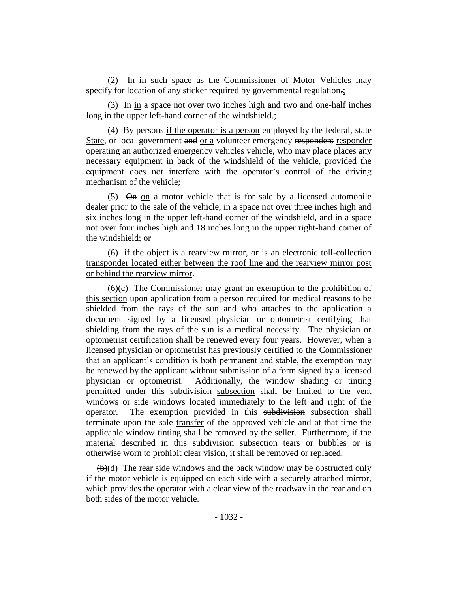(2) In in such space as the Commissioner of Motor Vehicles may specify for location of any sticker required by governmental regulation.;

(3) In in a space not over two inches high and two and one-half inches long in the upper left-hand corner of the windshield.;

(4) By persons if the operator is a person employed by the federal, state State, or local government and or a volunteer emergency responders responder operating an authorized emergency vehicles vehicle, who may place places any necessary equipment in back of the windshield of the vehicle, provided the equipment does not interfere with the operator's control of the driving mechanism of the vehicle;

 $(5)$   $\Theta$ m on a motor vehicle that is for sale by a licensed automobile dealer prior to the sale of the vehicle, in a space not over three inches high and six inches long in the upper left-hand corner of the windshield, and in a space not over four inches high and 18 inches long in the upper right-hand corner of the windshield; or

(6) if the object is a rearview mirror, or is an electronic toll-collection transponder located either between the roof line and the rearview mirror post or behind the rearview mirror.

 $(6)(c)$  The Commissioner may grant an exemption to the prohibition of this section upon application from a person required for medical reasons to be shielded from the rays of the sun and who attaches to the application a document signed by a licensed physician or optometrist certifying that shielding from the rays of the sun is a medical necessity. The physician or optometrist certification shall be renewed every four years. However, when a licensed physician or optometrist has previously certified to the Commissioner that an applicant's condition is both permanent and stable, the exemption may be renewed by the applicant without submission of a form signed by a licensed physician or optometrist. Additionally, the window shading or tinting permitted under this subdivision subsection shall be limited to the vent windows or side windows located immediately to the left and right of the operator. The exemption provided in this subdivision subsection shall terminate upon the sale transfer of the approved vehicle and at that time the applicable window tinting shall be removed by the seller. Furthermore, if the material described in this subdivision subsection tears or bubbles or is otherwise worn to prohibit clear vision, it shall be removed or replaced.

 $(b)(d)$  The rear side windows and the back window may be obstructed only if the motor vehicle is equipped on each side with a securely attached mirror, which provides the operator with a clear view of the roadway in the rear and on both sides of the motor vehicle.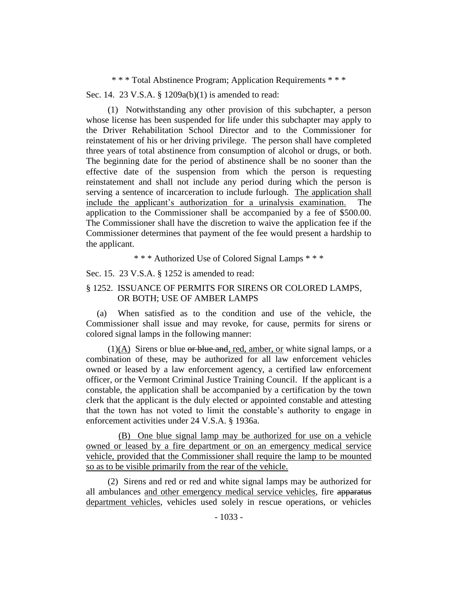\* \* \* Total Abstinence Program; Application Requirements \* \* \*

Sec. 14. 23 V.S.A. § 1209a(b)(1) is amended to read:

(1) Notwithstanding any other provision of this subchapter, a person whose license has been suspended for life under this subchapter may apply to the Driver Rehabilitation School Director and to the Commissioner for reinstatement of his or her driving privilege. The person shall have completed three years of total abstinence from consumption of alcohol or drugs, or both. The beginning date for the period of abstinence shall be no sooner than the effective date of the suspension from which the person is requesting reinstatement and shall not include any period during which the person is serving a sentence of incarceration to include furlough. The application shall include the applicant's authorization for a urinalysis examination. The application to the Commissioner shall be accompanied by a fee of \$500.00. The Commissioner shall have the discretion to waive the application fee if the Commissioner determines that payment of the fee would present a hardship to the applicant.

\* \* \* Authorized Use of Colored Signal Lamps \* \* \*

Sec. 15. 23 V.S.A. § 1252 is amended to read:

# § 1252. ISSUANCE OF PERMITS FOR SIRENS OR COLORED LAMPS, OR BOTH; USE OF AMBER LAMPS

(a) When satisfied as to the condition and use of the vehicle, the Commissioner shall issue and may revoke, for cause, permits for sirens or colored signal lamps in the following manner:

 $(1)(A)$  Sirens or blue or blue and, red, amber, or white signal lamps, or a combination of these, may be authorized for all law enforcement vehicles owned or leased by a law enforcement agency, a certified law enforcement officer, or the Vermont Criminal Justice Training Council. If the applicant is a constable, the application shall be accompanied by a certification by the town clerk that the applicant is the duly elected or appointed constable and attesting that the town has not voted to limit the constable's authority to engage in enforcement activities under 24 V.S.A. § 1936a.

(B) One blue signal lamp may be authorized for use on a vehicle owned or leased by a fire department or on an emergency medical service vehicle, provided that the Commissioner shall require the lamp to be mounted so as to be visible primarily from the rear of the vehicle.

(2) Sirens and red or red and white signal lamps may be authorized for all ambulances and other emergency medical service vehicles, fire apparatus department vehicles, vehicles used solely in rescue operations, or vehicles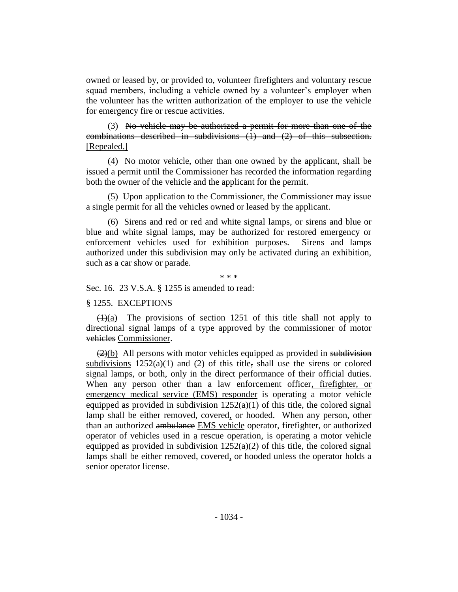owned or leased by, or provided to, volunteer firefighters and voluntary rescue squad members, including a vehicle owned by a volunteer's employer when the volunteer has the written authorization of the employer to use the vehicle for emergency fire or rescue activities.

(3) No vehicle may be authorized a permit for more than one of the combinations described in subdivisions (1) and (2) of this subsection. [Repealed.]

(4) No motor vehicle, other than one owned by the applicant, shall be issued a permit until the Commissioner has recorded the information regarding both the owner of the vehicle and the applicant for the permit.

(5) Upon application to the Commissioner, the Commissioner may issue a single permit for all the vehicles owned or leased by the applicant.

(6) Sirens and red or red and white signal lamps, or sirens and blue or blue and white signal lamps, may be authorized for restored emergency or enforcement vehicles used for exhibition purposes. Sirens and lamps authorized under this subdivision may only be activated during an exhibition, such as a car show or parade.

\* \* \*

Sec. 16. 23 V.S.A. § 1255 is amended to read:

#### § 1255. EXCEPTIONS

 $(1)(a)$  The provisions of section 1251 of this title shall not apply to directional signal lamps of a type approved by the commissioner of motor vehicles Commissioner.

 $(2)(b)$  All persons with motor vehicles equipped as provided in subdivision subdivisions  $1252(a)(1)$  and (2) of this title, shall use the sirens or colored signal lamps, or both, only in the direct performance of their official duties. When any person other than a law enforcement officer, firefighter, or emergency medical service (EMS) responder is operating a motor vehicle equipped as provided in subdivision  $1252(a)(1)$  of this title, the colored signal lamp shall be either removed, covered, or hooded. When any person, other than an authorized ambulance EMS vehicle operator, firefighter, or authorized operator of vehicles used in a rescue operation, is operating a motor vehicle equipped as provided in subdivision  $1252(a)(2)$  of this title, the colored signal lamps shall be either removed, covered, or hooded unless the operator holds a senior operator license.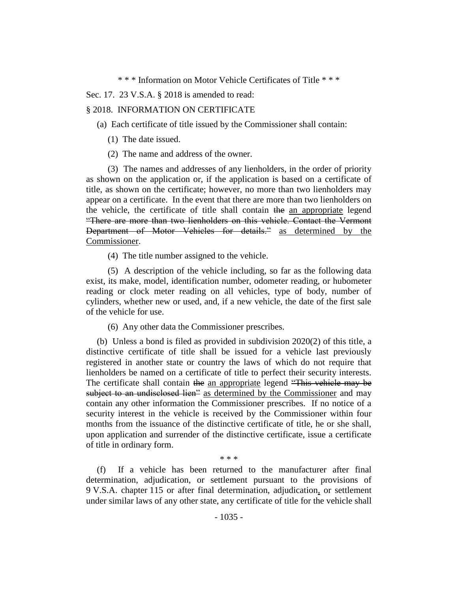\* \* \* Information on Motor Vehicle Certificates of Title \* \* \*

Sec. 17. 23 V.S.A. § 2018 is amended to read:

#### § 2018. INFORMATION ON CERTIFICATE

(a) Each certificate of title issued by the Commissioner shall contain:

- (1) The date issued.
- (2) The name and address of the owner.

(3) The names and addresses of any lienholders, in the order of priority as shown on the application or, if the application is based on a certificate of title, as shown on the certificate; however, no more than two lienholders may appear on a certificate. In the event that there are more than two lienholders on the vehicle, the certificate of title shall contain the an appropriate legend "There are more than two lienholders on this vehicle. Contact the Vermont Department of Motor Vehicles for details." as determined by the Commissioner.

(4) The title number assigned to the vehicle.

(5) A description of the vehicle including, so far as the following data exist, its make, model, identification number, odometer reading, or hubometer reading or clock meter reading on all vehicles, type of body, number of cylinders, whether new or used, and, if a new vehicle, the date of the first sale of the vehicle for use.

(6) Any other data the Commissioner prescribes.

(b) Unless a bond is filed as provided in subdivision 2020(2) of this title, a distinctive certificate of title shall be issued for a vehicle last previously registered in another state or country the laws of which do not require that lienholders be named on a certificate of title to perfect their security interests. The certificate shall contain the an appropriate legend "This vehicle may be subject to an undisclosed lien" as determined by the Commissioner and may contain any other information the Commissioner prescribes. If no notice of a security interest in the vehicle is received by the Commissioner within four months from the issuance of the distinctive certificate of title, he or she shall, upon application and surrender of the distinctive certificate, issue a certificate of title in ordinary form.

(f) If a vehicle has been returned to the manufacturer after final determination, adjudication, or settlement pursuant to the provisions of 9 V.S.A. chapter 115 or after final determination, adjudication, or settlement under similar laws of any other state, any certificate of title for the vehicle shall

\* \* \*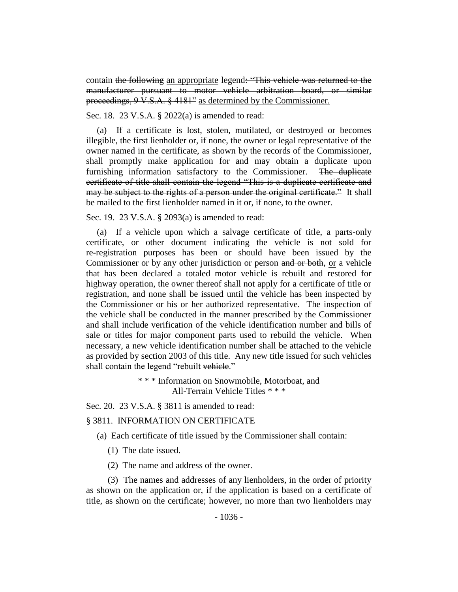contain the following an appropriate legend: "This vehicle was returned to the manufacturer pursuant to motor vehicle arbitration board, or similar proceedings, 9 V.S.A. § 4181" as determined by the Commissioner.

Sec. 18. 23 V.S.A. § 2022(a) is amended to read:

(a) If a certificate is lost, stolen, mutilated, or destroyed or becomes illegible, the first lienholder or, if none, the owner or legal representative of the owner named in the certificate, as shown by the records of the Commissioner, shall promptly make application for and may obtain a duplicate upon furnishing information satisfactory to the Commissioner. The duplicate certificate of title shall contain the legend "This is a duplicate certificate and may be subject to the rights of a person under the original certificate." It shall be mailed to the first lienholder named in it or, if none, to the owner.

Sec. 19. 23 V.S.A. § 2093(a) is amended to read:

(a) If a vehicle upon which a salvage certificate of title, a parts-only certificate, or other document indicating the vehicle is not sold for re-registration purposes has been or should have been issued by the Commissioner or by any other jurisdiction or person and or both, or a vehicle that has been declared a totaled motor vehicle is rebuilt and restored for highway operation, the owner thereof shall not apply for a certificate of title or registration, and none shall be issued until the vehicle has been inspected by the Commissioner or his or her authorized representative. The inspection of the vehicle shall be conducted in the manner prescribed by the Commissioner and shall include verification of the vehicle identification number and bills of sale or titles for major component parts used to rebuild the vehicle. When necessary, a new vehicle identification number shall be attached to the vehicle as provided by section 2003 of this title. Any new title issued for such vehicles shall contain the legend "rebuilt vehicle."

> \* \* \* Information on Snowmobile, Motorboat, and All-Terrain Vehicle Titles \* \* \*

Sec. 20. 23 V.S.A. § 3811 is amended to read:

### § 3811. INFORMATION ON CERTIFICATE

- (a) Each certificate of title issued by the Commissioner shall contain:
	- (1) The date issued.
	- (2) The name and address of the owner.

(3) The names and addresses of any lienholders, in the order of priority as shown on the application or, if the application is based on a certificate of title, as shown on the certificate; however, no more than two lienholders may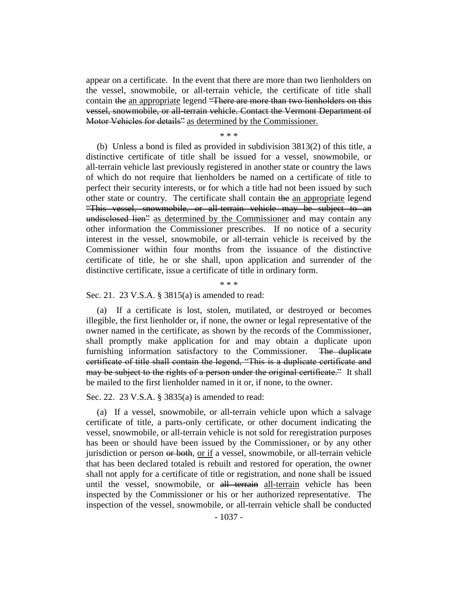appear on a certificate. In the event that there are more than two lienholders on the vessel, snowmobile, or all-terrain vehicle, the certificate of title shall contain the an appropriate legend "There are more than two lienholders on this vessel, snowmobile, or all-terrain vehicle. Contact the Vermont Department of Motor Vehicles for details" as determined by the Commissioner.

\* \* \*

(b) Unless a bond is filed as provided in subdivision 3813(2) of this title, a distinctive certificate of title shall be issued for a vessel, snowmobile, or all-terrain vehicle last previously registered in another state or country the laws of which do not require that lienholders be named on a certificate of title to perfect their security interests, or for which a title had not been issued by such other state or country. The certificate shall contain the an appropriate legend "This vessel, snowmobile, or all-terrain vehicle may be subject to an undisclosed lien<sup>2</sup> as determined by the Commissioner and may contain any other information the Commissioner prescribes. If no notice of a security interest in the vessel, snowmobile, or all-terrain vehicle is received by the Commissioner within four months from the issuance of the distinctive certificate of title, he or she shall, upon application and surrender of the distinctive certificate, issue a certificate of title in ordinary form.

Sec. 21. 23 V.S.A. § 3815(a) is amended to read:

(a) If a certificate is lost, stolen, mutilated, or destroyed or becomes illegible, the first lienholder or, if none, the owner or legal representative of the owner named in the certificate, as shown by the records of the Commissioner, shall promptly make application for and may obtain a duplicate upon furnishing information satisfactory to the Commissioner. The duplicate certificate of title shall contain the legend, "This is a duplicate certificate and may be subject to the rights of a person under the original certificate." It shall be mailed to the first lienholder named in it or, if none, to the owner.

\* \* \*

Sec. 22. 23 V.S.A. § 3835(a) is amended to read:

(a) If a vessel, snowmobile, or all-terrain vehicle upon which a salvage certificate of title, a parts-only certificate, or other document indicating the vessel, snowmobile, or all-terrain vehicle is not sold for reregistration purposes has been or should have been issued by the Commissioner, or by any other jurisdiction or person or both, or if a vessel, snowmobile, or all-terrain vehicle that has been declared totaled is rebuilt and restored for operation, the owner shall not apply for a certificate of title or registration, and none shall be issued until the vessel, snowmobile, or all terrain all-terrain vehicle has been inspected by the Commissioner or his or her authorized representative. The inspection of the vessel, snowmobile, or all-terrain vehicle shall be conducted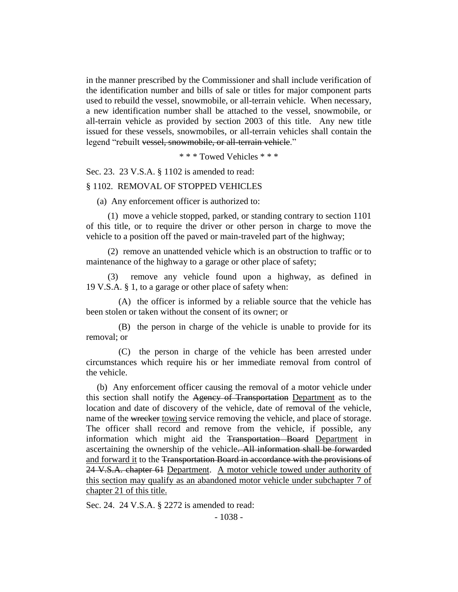in the manner prescribed by the Commissioner and shall include verification of the identification number and bills of sale or titles for major component parts used to rebuild the vessel, snowmobile, or all-terrain vehicle. When necessary, a new identification number shall be attached to the vessel, snowmobile, or all-terrain vehicle as provided by section 2003 of this title. Any new title issued for these vessels, snowmobiles, or all-terrain vehicles shall contain the legend "rebuilt vessel, snowmobile, or all-terrain vehicle."

\* \* \* Towed Vehicles \* \* \*

Sec. 23. 23 V.S.A. § 1102 is amended to read:

#### § 1102. REMOVAL OF STOPPED VEHICLES

(a) Any enforcement officer is authorized to:

(1) move a vehicle stopped, parked, or standing contrary to section 1101 of this title, or to require the driver or other person in charge to move the vehicle to a position off the paved or main-traveled part of the highway;

(2) remove an unattended vehicle which is an obstruction to traffic or to maintenance of the highway to a garage or other place of safety;

(3) remove any vehicle found upon a highway, as defined in 19 V.S.A. § 1, to a garage or other place of safety when:

(A) the officer is informed by a reliable source that the vehicle has been stolen or taken without the consent of its owner; or

(B) the person in charge of the vehicle is unable to provide for its removal; or

(C) the person in charge of the vehicle has been arrested under circumstances which require his or her immediate removal from control of the vehicle.

(b) Any enforcement officer causing the removal of a motor vehicle under this section shall notify the Agency of Transportation Department as to the location and date of discovery of the vehicle, date of removal of the vehicle, name of the wrecker towing service removing the vehicle, and place of storage. The officer shall record and remove from the vehicle, if possible, any information which might aid the Transportation Board Department in ascertaining the ownership of the vehicle. All information shall be forwarded and forward it to the Transportation Board in accordance with the provisions of 24 V.S.A. chapter 61 Department. A motor vehicle towed under authority of this section may qualify as an abandoned motor vehicle under subchapter 7 of chapter 21 of this title.

Sec. 24. 24 V.S.A. § 2272 is amended to read: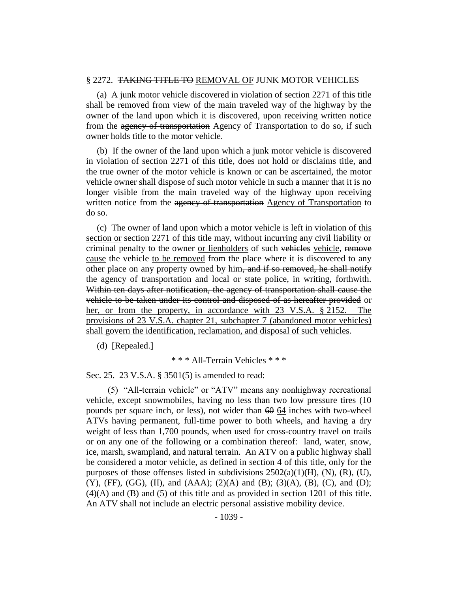#### § 2272. TAKING TITLE TO REMOVAL OF JUNK MOTOR VEHICLES

(a) A junk motor vehicle discovered in violation of section 2271 of this title shall be removed from view of the main traveled way of the highway by the owner of the land upon which it is discovered, upon receiving written notice from the agency of transportation Agency of Transportation to do so, if such owner holds title to the motor vehicle.

(b) If the owner of the land upon which a junk motor vehicle is discovered in violation of section 2271 of this title, does not hold or disclaims title, and the true owner of the motor vehicle is known or can be ascertained, the motor vehicle owner shall dispose of such motor vehicle in such a manner that it is no longer visible from the main traveled way of the highway upon receiving written notice from the agency of transportation Agency of Transportation to do so.

(c) The owner of land upon which a motor vehicle is left in violation of this section or section 2271 of this title may, without incurring any civil liability or criminal penalty to the owner or lienholders of such vehicles vehicle, remove cause the vehicle to be removed from the place where it is discovered to any other place on any property owned by him, and if so removed, he shall notify the agency of transportation and local or state police, in writing, forthwith. Within ten days after notification, the agency of transportation shall cause the vehicle to be taken under its control and disposed of as hereafter provided or her, or from the property, in accordance with 23 V.S.A. § 2152. The provisions of 23 V.S.A. chapter 21, subchapter 7 (abandoned motor vehicles) shall govern the identification, reclamation, and disposal of such vehicles.

(d) [Repealed.]

\* \* \* All-Terrain Vehicles \* \* \*

Sec. 25. 23 V.S.A. § 3501(5) is amended to read:

(5) "All-terrain vehicle" or "ATV" means any nonhighway recreational vehicle, except snowmobiles, having no less than two low pressure tires (10 pounds per square inch, or less), not wider than  $60 \times 64$  inches with two-wheel ATVs having permanent, full-time power to both wheels, and having a dry weight of less than 1,700 pounds, when used for cross-country travel on trails or on any one of the following or a combination thereof: land, water, snow, ice, marsh, swampland, and natural terrain. An ATV on a public highway shall be considered a motor vehicle, as defined in section 4 of this title, only for the purposes of those offenses listed in subdivisions  $2502(a)(1)(H)$ ,  $(N)$ ,  $(R)$ ,  $(U)$ ,  $(Y)$ ,  $(FF)$ ,  $(GG)$ ,  $(II)$ , and  $(AAA)$ ;  $(2)(A)$  and  $(B)$ ;  $(3)(A)$ ,  $(B)$ ,  $(C)$ , and  $(D)$ ; (4)(A) and (B) and (5) of this title and as provided in section 1201 of this title. An ATV shall not include an electric personal assistive mobility device.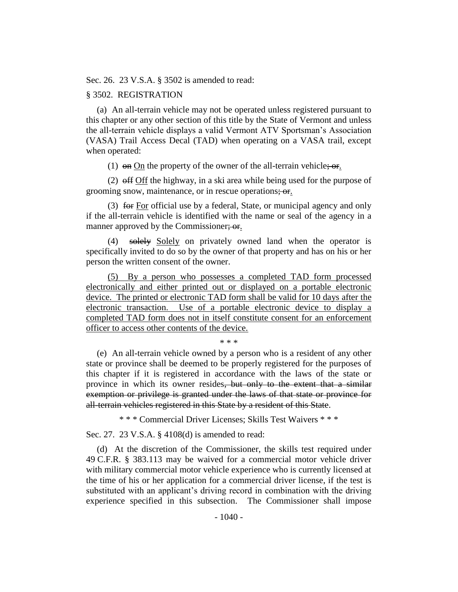Sec. 26. 23 V.S.A. § 3502 is amended to read:

### § 3502. REGISTRATION

(a) An all-terrain vehicle may not be operated unless registered pursuant to this chapter or any other section of this title by the State of Vermont and unless the all-terrain vehicle displays a valid Vermont ATV Sportsman's Association (VASA) Trail Access Decal (TAD) when operating on a VASA trail, except when operated:

(1)  $\Theta$  on On the property of the owner of the all-terrain vehicle;  $\Theta$ .

(2) off Off the highway, in a ski area while being used for the purpose of grooming snow, maintenance, or in rescue operations; or.

(3) for For official use by a federal, State, or municipal agency and only if the all-terrain vehicle is identified with the name or seal of the agency in a manner approved by the Commissioner; or.

(4) solely Solely on privately owned land when the operator is specifically invited to do so by the owner of that property and has on his or her person the written consent of the owner.

(5) By a person who possesses a completed TAD form processed electronically and either printed out or displayed on a portable electronic device. The printed or electronic TAD form shall be valid for 10 days after the electronic transaction. Use of a portable electronic device to display a completed TAD form does not in itself constitute consent for an enforcement officer to access other contents of the device.

\* \* \*

(e) An all-terrain vehicle owned by a person who is a resident of any other state or province shall be deemed to be properly registered for the purposes of this chapter if it is registered in accordance with the laws of the state or province in which its owner resides, but only to the extent that a similar exemption or privilege is granted under the laws of that state or province for all-terrain vehicles registered in this State by a resident of this State.

\* \* \* Commercial Driver Licenses; Skills Test Waivers \* \* \*

Sec. 27. 23 V.S.A. § 4108(d) is amended to read:

(d) At the discretion of the Commissioner, the skills test required under 49 C.F.R. § 383.113 may be waived for a commercial motor vehicle driver with military commercial motor vehicle experience who is currently licensed at the time of his or her application for a commercial driver license, if the test is substituted with an applicant's driving record in combination with the driving experience specified in this subsection. The Commissioner shall impose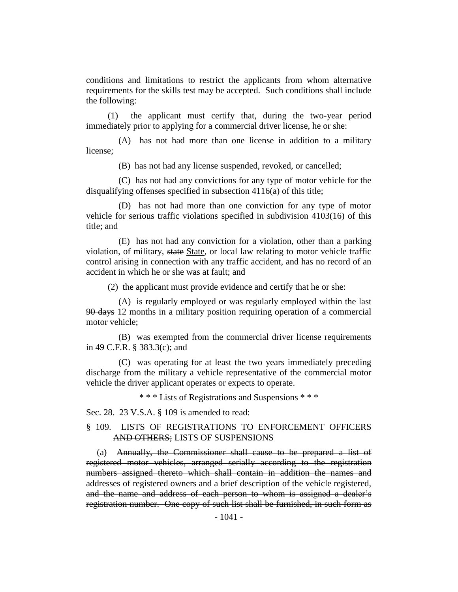conditions and limitations to restrict the applicants from whom alternative requirements for the skills test may be accepted. Such conditions shall include the following:

(1) the applicant must certify that, during the two-year period immediately prior to applying for a commercial driver license, he or she:

(A) has not had more than one license in addition to a military license;

(B) has not had any license suspended, revoked, or cancelled;

(C) has not had any convictions for any type of motor vehicle for the disqualifying offenses specified in subsection 4116(a) of this title;

(D) has not had more than one conviction for any type of motor vehicle for serious traffic violations specified in subdivision 4103(16) of this title; and

(E) has not had any conviction for a violation, other than a parking violation, of military, state State, or local law relating to motor vehicle traffic control arising in connection with any traffic accident, and has no record of an accident in which he or she was at fault; and

(2) the applicant must provide evidence and certify that he or she:

(A) is regularly employed or was regularly employed within the last 90 days 12 months in a military position requiring operation of a commercial motor vehicle;

(B) was exempted from the commercial driver license requirements in 49 C.F.R. § 383.3(c); and

(C) was operating for at least the two years immediately preceding discharge from the military a vehicle representative of the commercial motor vehicle the driver applicant operates or expects to operate.

\* \* \* Lists of Registrations and Suspensions \* \* \*

Sec. 28. 23 V.S.A. § 109 is amended to read:

### § 109. LISTS OF REGISTRATIONS TO ENFORCEMENT OFFICERS AND OTHERS; LISTS OF SUSPENSIONS

(a) Annually, the Commissioner shall cause to be prepared a list of registered motor vehicles, arranged serially according to the registration numbers assigned thereto which shall contain in addition the names and addresses of registered owners and a brief description of the vehicle registered, and the name and address of each person to whom is assigned a dealer's registration number. One copy of such list shall be furnished, in such form as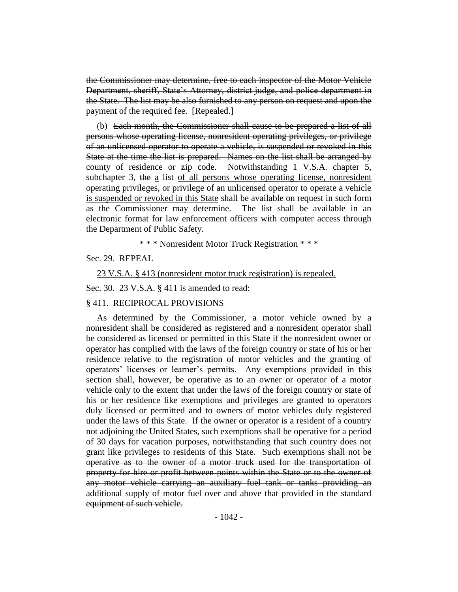the Commissioner may determine, free to each inspector of the Motor Vehicle Department, sheriff, State's Attorney, district judge, and police department in the State. The list may be also furnished to any person on request and upon the payment of the required fee. [Repealed.]

(b) Each month, the Commissioner shall cause to be prepared a list of all persons whose operating license, nonresident operating privileges, or privilege of an unlicensed operator to operate a vehicle, is suspended or revoked in this State at the time the list is prepared. Names on the list shall be arranged by county of residence or zip code. Notwithstanding 1 V.S.A. chapter 5, subchapter 3, the a list of all persons whose operating license, nonresident operating privileges, or privilege of an unlicensed operator to operate a vehicle is suspended or revoked in this State shall be available on request in such form as the Commissioner may determine. The list shall be available in an electronic format for law enforcement officers with computer access through the Department of Public Safety.

\* \* \* Nonresident Motor Truck Registration \* \* \*

Sec. 29. REPEAL

23 V.S.A. § 413 (nonresident motor truck registration) is repealed.

Sec. 30. 23 V.S.A. § 411 is amended to read:

#### § 411. RECIPROCAL PROVISIONS

As determined by the Commissioner, a motor vehicle owned by a nonresident shall be considered as registered and a nonresident operator shall be considered as licensed or permitted in this State if the nonresident owner or operator has complied with the laws of the foreign country or state of his or her residence relative to the registration of motor vehicles and the granting of operators' licenses or learner's permits. Any exemptions provided in this section shall, however, be operative as to an owner or operator of a motor vehicle only to the extent that under the laws of the foreign country or state of his or her residence like exemptions and privileges are granted to operators duly licensed or permitted and to owners of motor vehicles duly registered under the laws of this State. If the owner or operator is a resident of a country not adjoining the United States, such exemptions shall be operative for a period of 30 days for vacation purposes, notwithstanding that such country does not grant like privileges to residents of this State. Such exemptions shall not be operative as to the owner of a motor truck used for the transportation of property for hire or profit between points within the State or to the owner of any motor vehicle carrying an auxiliary fuel tank or tanks providing an additional supply of motor fuel over and above that provided in the standard equipment of such vehicle.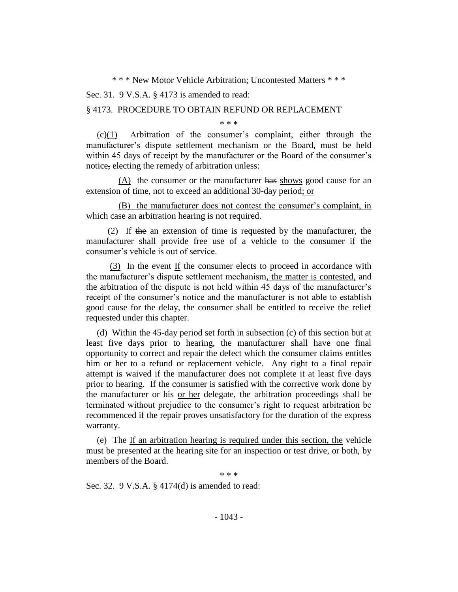\* \* \* New Motor Vehicle Arbitration; Uncontested Matters \* \* \*

Sec. 31. 9 V.S.A. § 4173 is amended to read:

#### § 4173. PROCEDURE TO OBTAIN REFUND OR REPLACEMENT

\* \* \*

 $(c)(1)$  Arbitration of the consumer's complaint, either through the manufacturer's dispute settlement mechanism or the Board, must be held within 45 days of receipt by the manufacturer or the Board of the consumer's notice, electing the remedy of arbitration unless:

(A) the consumer or the manufacturer has shows good cause for an extension of time, not to exceed an additional 30-day period; or

(B) the manufacturer does not contest the consumer's complaint, in which case an arbitration hearing is not required.

(2) If the an extension of time is requested by the manufacturer, the manufacturer shall provide free use of a vehicle to the consumer if the consumer's vehicle is out of service.

(3) In the event If the consumer elects to proceed in accordance with the manufacturer's dispute settlement mechanism, the matter is contested, and the arbitration of the dispute is not held within 45 days of the manufacturer's receipt of the consumer's notice and the manufacturer is not able to establish good cause for the delay, the consumer shall be entitled to receive the relief requested under this chapter.

(d) Within the 45-day period set forth in subsection (c) of this section but at least five days prior to hearing, the manufacturer shall have one final opportunity to correct and repair the defect which the consumer claims entitles him or her to a refund or replacement vehicle. Any right to a final repair attempt is waived if the manufacturer does not complete it at least five days prior to hearing. If the consumer is satisfied with the corrective work done by the manufacturer or his or her delegate, the arbitration proceedings shall be terminated without prejudice to the consumer's right to request arbitration be recommenced if the repair proves unsatisfactory for the duration of the express warranty.

(e) The If an arbitration hearing is required under this section, the vehicle must be presented at the hearing site for an inspection or test drive, or both, by members of the Board.

\* \* \*

Sec. 32. 9 V.S.A. § 4174(d) is amended to read: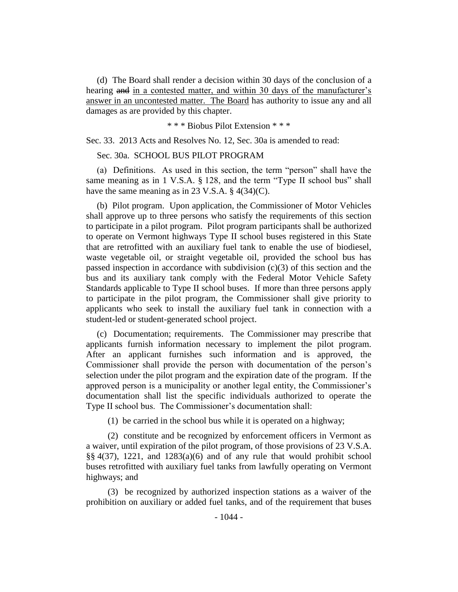(d) The Board shall render a decision within 30 days of the conclusion of a hearing and in a contested matter, and within 30 days of the manufacturer's answer in an uncontested matter. The Board has authority to issue any and all damages as are provided by this chapter.

\* \* \* Biobus Pilot Extension \* \* \*

Sec. 33. 2013 Acts and Resolves No. 12, Sec. 30a is amended to read:

Sec. 30a. SCHOOL BUS PILOT PROGRAM

(a) Definitions. As used in this section, the term "person" shall have the same meaning as in 1 V.S.A. § 128, and the term "Type II school bus" shall have the same meaning as in 23 V.S.A. § 4(34)(C).

(b) Pilot program. Upon application, the Commissioner of Motor Vehicles shall approve up to three persons who satisfy the requirements of this section to participate in a pilot program. Pilot program participants shall be authorized to operate on Vermont highways Type II school buses registered in this State that are retrofitted with an auxiliary fuel tank to enable the use of biodiesel, waste vegetable oil, or straight vegetable oil, provided the school bus has passed inspection in accordance with subdivision (c)(3) of this section and the bus and its auxiliary tank comply with the Federal Motor Vehicle Safety Standards applicable to Type II school buses. If more than three persons apply to participate in the pilot program, the Commissioner shall give priority to applicants who seek to install the auxiliary fuel tank in connection with a student-led or student-generated school project.

(c) Documentation; requirements. The Commissioner may prescribe that applicants furnish information necessary to implement the pilot program. After an applicant furnishes such information and is approved, the Commissioner shall provide the person with documentation of the person's selection under the pilot program and the expiration date of the program. If the approved person is a municipality or another legal entity, the Commissioner's documentation shall list the specific individuals authorized to operate the Type II school bus. The Commissioner's documentation shall:

(1) be carried in the school bus while it is operated on a highway;

(2) constitute and be recognized by enforcement officers in Vermont as a waiver, until expiration of the pilot program, of those provisions of 23 V.S.A. §§ 4(37), 1221, and 1283(a)(6) and of any rule that would prohibit school buses retrofitted with auxiliary fuel tanks from lawfully operating on Vermont highways; and

(3) be recognized by authorized inspection stations as a waiver of the prohibition on auxiliary or added fuel tanks, and of the requirement that buses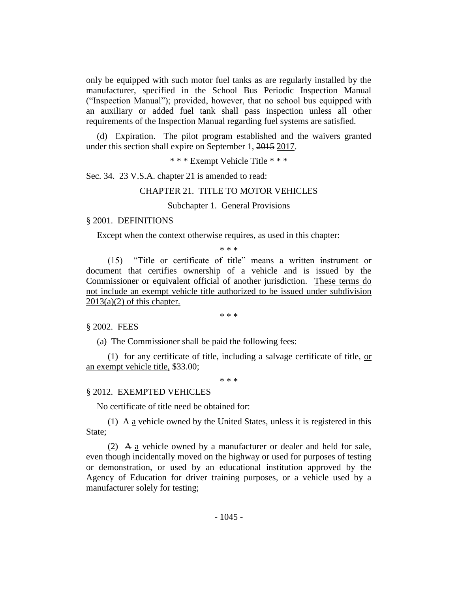only be equipped with such motor fuel tanks as are regularly installed by the manufacturer, specified in the School Bus Periodic Inspection Manual ("Inspection Manual"); provided, however, that no school bus equipped with an auxiliary or added fuel tank shall pass inspection unless all other requirements of the Inspection Manual regarding fuel systems are satisfied.

(d) Expiration. The pilot program established and the waivers granted under this section shall expire on September 1, 2015 2017.

\* \* \* Exempt Vehicle Title \* \* \*

Sec. 34. 23 V.S.A. chapter 21 is amended to read:

#### CHAPTER 21. TITLE TO MOTOR VEHICLES

#### Subchapter 1. General Provisions

#### § 2001. DEFINITIONS

Except when the context otherwise requires, as used in this chapter:

\* \* \*

(15) "Title or certificate of title" means a written instrument or document that certifies ownership of a vehicle and is issued by the Commissioner or equivalent official of another jurisdiction. These terms do not include an exempt vehicle title authorized to be issued under subdivision  $2013(a)(2)$  of this chapter.

\* \* \*

§ 2002. FEES

(a) The Commissioner shall be paid the following fees:

(1) for any certificate of title, including a salvage certificate of title,  $\alpha r$ an exempt vehicle title, \$33.00;

\* \* \*

#### § 2012. EXEMPTED VEHICLES

No certificate of title need be obtained for:

(1)  $\overline{A}$  a vehicle owned by the United States, unless it is registered in this State;

(2)  $\overline{A}$  a vehicle owned by a manufacturer or dealer and held for sale, even though incidentally moved on the highway or used for purposes of testing or demonstration, or used by an educational institution approved by the Agency of Education for driver training purposes, or a vehicle used by a manufacturer solely for testing;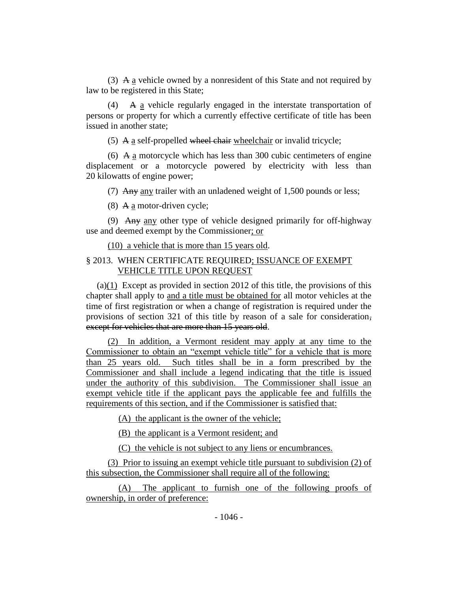(3) A  $\alpha$  vehicle owned by a nonresident of this State and not required by law to be registered in this State;

(4) A a vehicle regularly engaged in the interstate transportation of persons or property for which a currently effective certificate of title has been issued in another state;

(5) A  $\underline{a}$  self-propelled wheel chair wheelchair or invalid tricycle;

(6) A a motorcycle which has less than 300 cubic centimeters of engine displacement or a motorcycle powered by electricity with less than 20 kilowatts of engine power;

(7) Any any trailer with an unladened weight of 1,500 pounds or less;

(8) A  $\underline{a}$  motor-driven cycle;

(9) Any any other type of vehicle designed primarily for off-highway use and deemed exempt by the Commissioner; or

(10) a vehicle that is more than 15 years old.

### § 2013. WHEN CERTIFICATE REQUIRED; ISSUANCE OF EXEMPT VEHICLE TITLE UPON REQUEST

(a)(1) Except as provided in section 2012 of this title, the provisions of this chapter shall apply to and a title must be obtained for all motor vehicles at the time of first registration or when a change of registration is required under the provisions of section 321 of this title by reason of a sale for consideration, except for vehicles that are more than 15 years old.

(2) In addition, a Vermont resident may apply at any time to the Commissioner to obtain an "exempt vehicle title" for a vehicle that is more than 25 years old. Such titles shall be in a form prescribed by the Commissioner and shall include a legend indicating that the title is issued under the authority of this subdivision. The Commissioner shall issue an exempt vehicle title if the applicant pays the applicable fee and fulfills the requirements of this section, and if the Commissioner is satisfied that:

(A) the applicant is the owner of the vehicle;

(B) the applicant is a Vermont resident; and

(C) the vehicle is not subject to any liens or encumbrances.

(3) Prior to issuing an exempt vehicle title pursuant to subdivision (2) of this subsection, the Commissioner shall require all of the following:

(A) The applicant to furnish one of the following proofs of ownership, in order of preference: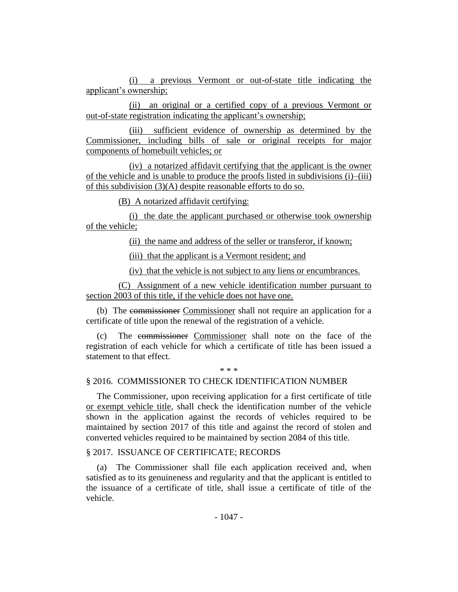(i) a previous Vermont or out-of-state title indicating the applicant's ownership;

(ii) an original or a certified copy of a previous Vermont or out-of-state registration indicating the applicant's ownership;

(iii) sufficient evidence of ownership as determined by the Commissioner, including bills of sale or original receipts for major components of homebuilt vehicles; or

(iv) a notarized affidavit certifying that the applicant is the owner of the vehicle and is unable to produce the proofs listed in subdivisions (i)–(iii) of this subdivision (3)(A) despite reasonable efforts to do so.

(B) A notarized affidavit certifying:

(i) the date the applicant purchased or otherwise took ownership of the vehicle;

(ii) the name and address of the seller or transferor, if known;

(iii) that the applicant is a Vermont resident; and

(iv) that the vehicle is not subject to any liens or encumbrances.

(C) Assignment of a new vehicle identification number pursuant to section 2003 of this title, if the vehicle does not have one.

(b) The commissioner Commissioner shall not require an application for a certificate of title upon the renewal of the registration of a vehicle.

(c) The commissioner Commissioner shall note on the face of the registration of each vehicle for which a certificate of title has been issued a statement to that effect.

#### \* \* \*

### § 2016. COMMISSIONER TO CHECK IDENTIFICATION NUMBER

The Commissioner, upon receiving application for a first certificate of title or exempt vehicle title, shall check the identification number of the vehicle shown in the application against the records of vehicles required to be maintained by section 2017 of this title and against the record of stolen and converted vehicles required to be maintained by section 2084 of this title.

### § 2017. ISSUANCE OF CERTIFICATE; RECORDS

(a) The Commissioner shall file each application received and, when satisfied as to its genuineness and regularity and that the applicant is entitled to the issuance of a certificate of title, shall issue a certificate of title of the vehicle.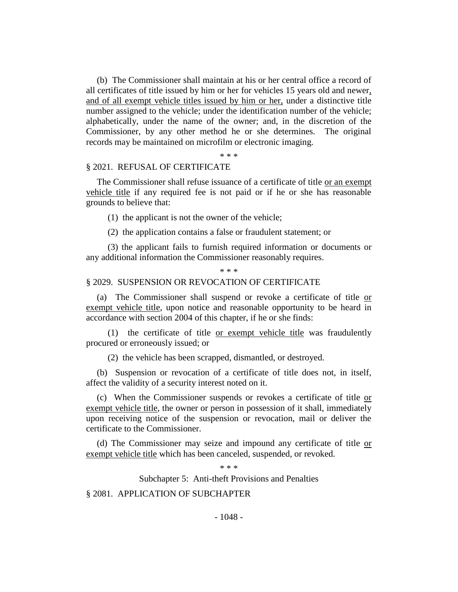(b) The Commissioner shall maintain at his or her central office a record of all certificates of title issued by him or her for vehicles 15 years old and newer, and of all exempt vehicle titles issued by him or her, under a distinctive title number assigned to the vehicle; under the identification number of the vehicle; alphabetically, under the name of the owner; and, in the discretion of the Commissioner, by any other method he or she determines. The original records may be maintained on microfilm or electronic imaging.

\* \* \*

#### § 2021. REFUSAL OF CERTIFICATE

The Commissioner shall refuse issuance of a certificate of title or an exempt vehicle title if any required fee is not paid or if he or she has reasonable grounds to believe that:

(1) the applicant is not the owner of the vehicle;

(2) the application contains a false or fraudulent statement; or

(3) the applicant fails to furnish required information or documents or any additional information the Commissioner reasonably requires.

#### \* \* \*

#### § 2029. SUSPENSION OR REVOCATION OF CERTIFICATE

(a) The Commissioner shall suspend or revoke a certificate of title or exempt vehicle title, upon notice and reasonable opportunity to be heard in accordance with section 2004 of this chapter, if he or she finds:

(1) the certificate of title or exempt vehicle title was fraudulently procured or erroneously issued; or

(2) the vehicle has been scrapped, dismantled, or destroyed.

(b) Suspension or revocation of a certificate of title does not, in itself, affect the validity of a security interest noted on it.

(c) When the Commissioner suspends or revokes a certificate of title or exempt vehicle title, the owner or person in possession of it shall, immediately upon receiving notice of the suspension or revocation, mail or deliver the certificate to the Commissioner.

(d) The Commissioner may seize and impound any certificate of title or exempt vehicle title which has been canceled, suspended, or revoked.

\* \* \*

Subchapter 5: Anti-theft Provisions and Penalties

§ 2081. APPLICATION OF SUBCHAPTER